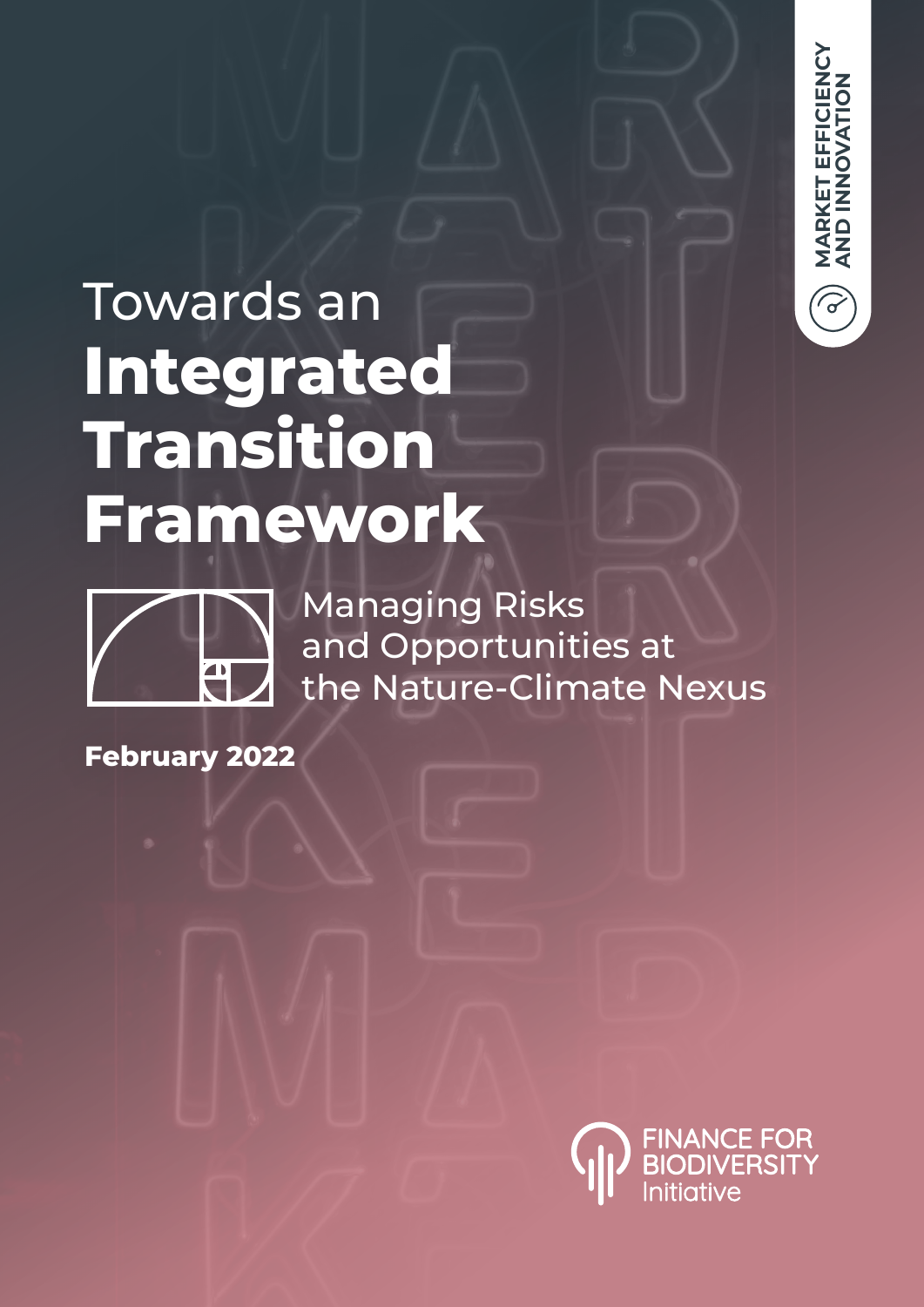

## Towards an **Integrated Transition Framework**



Managing Risks and Opportunities at the Nature-Climate Nexus

**February 2022**

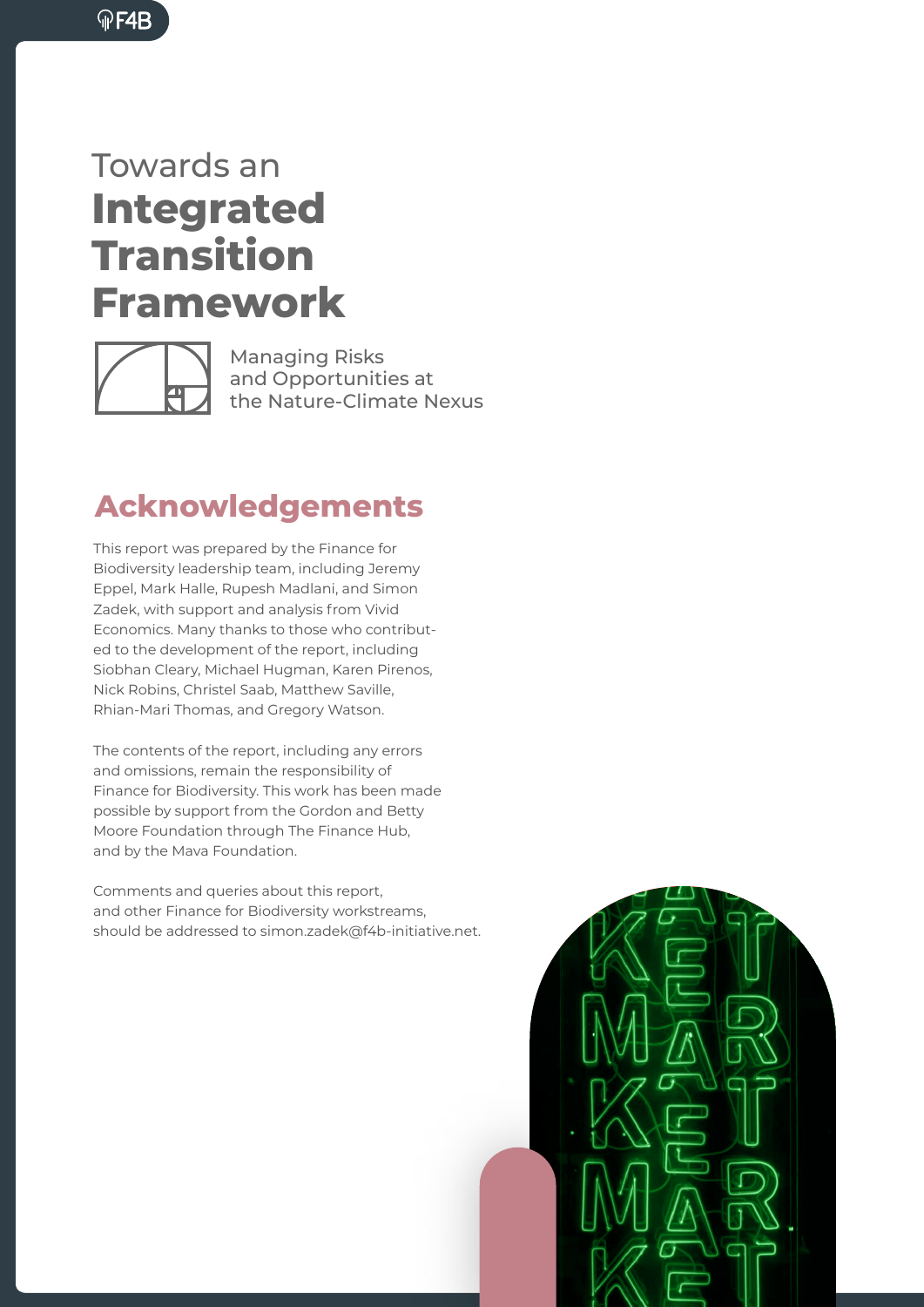

## Towards an **Integrated Transition Framework**



Managing Risks and Opportunities at the Nature-Climate Nexus

## **Acknowledgements**

This report was prepared by the Finance for Biodiversity leadership team, including Jeremy Eppel, Mark Halle, Rupesh Madlani, and Simon Zadek, with support and analysis from Vivid Economics. Many thanks to those who contributed to the development of the report, including Siobhan Cleary, Michael Hugman, Karen Pirenos, Nick Robins, Christel Saab, Matthew Saville, Rhian-Mari Thomas, and Gregory Watson.

The contents of the report, including any errors and omissions, remain the responsibility of Finance for Biodiversity. This work has been made possible by support from the Gordon and Betty Moore Foundation through The Finance Hub, and by the Mava Foundation.

Comments and queries about this report, and other Finance for Biodiversity workstreams, should be addressed to simon.zadek@f4b-initiative.net.

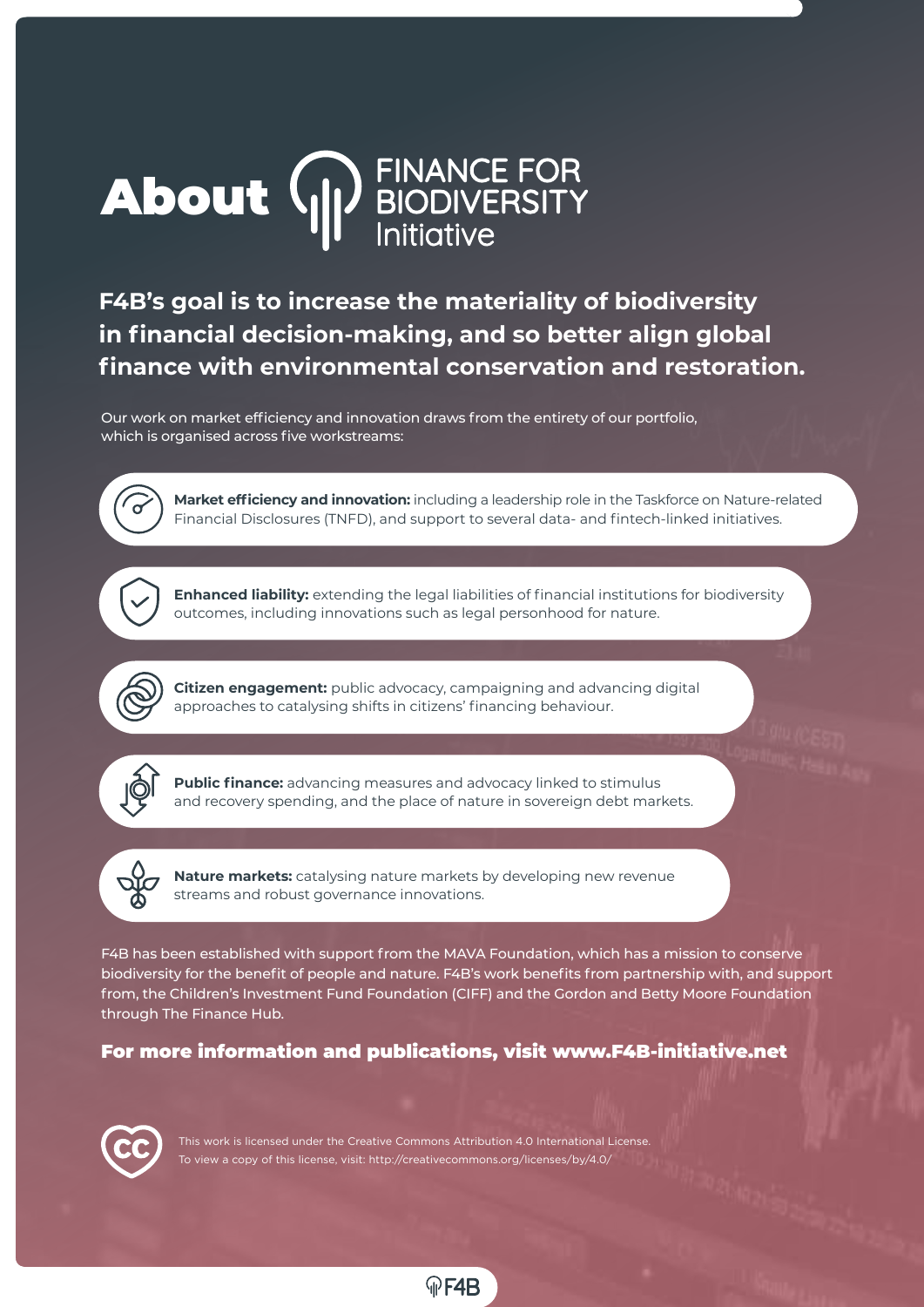# About **WE BIODIVERSITY**

**F4B's goal is to increase the materiality of biodiversity in financial decision-making, and so better align global finance with environmental conservation and restoration.** 

Our work on market efficiency and innovation draws from the entirety of our portfolio, which is organised across five workstreams:

> **Market efficiency and innovation:** including a leadership role in the Taskforce on Nature-related Financial Disclosures (TNFD), and support to several data- and fintech-linked initiatives.



**Enhanced liability:** extending the legal liabilities of financial institutions for biodiversity outcomes, including innovations such as legal personhood for nature.

**Citizen engagement:** public advocacy, campaigning and advancing digital approaches to catalysing shifts in citizens' financing behaviour.



**Public finance:** advancing measures and advocacy linked to stimulus and recovery spending, and the place of nature in sovereign debt markets.

**Nature markets:** catalysing nature markets by developing new revenue streams and robust governance innovations.

F4B has been established with support from the MAVA Foundation, which has a mission to conserve biodiversity for the benefit of people and nature. F4B's work benefits from partnership with, and support from, the Children's Investment Fund Foundation (CIFF) and the Gordon and Betty Moore Foundation through The Finance Hub.

### For more information and publications, visit www.F4B-initiative.net

F4B



This work is licensed under the Creative Commons Attribution 4.0 International License. To view a copy of this license, visit: http://creativecommons.org/licenses/by/4.0/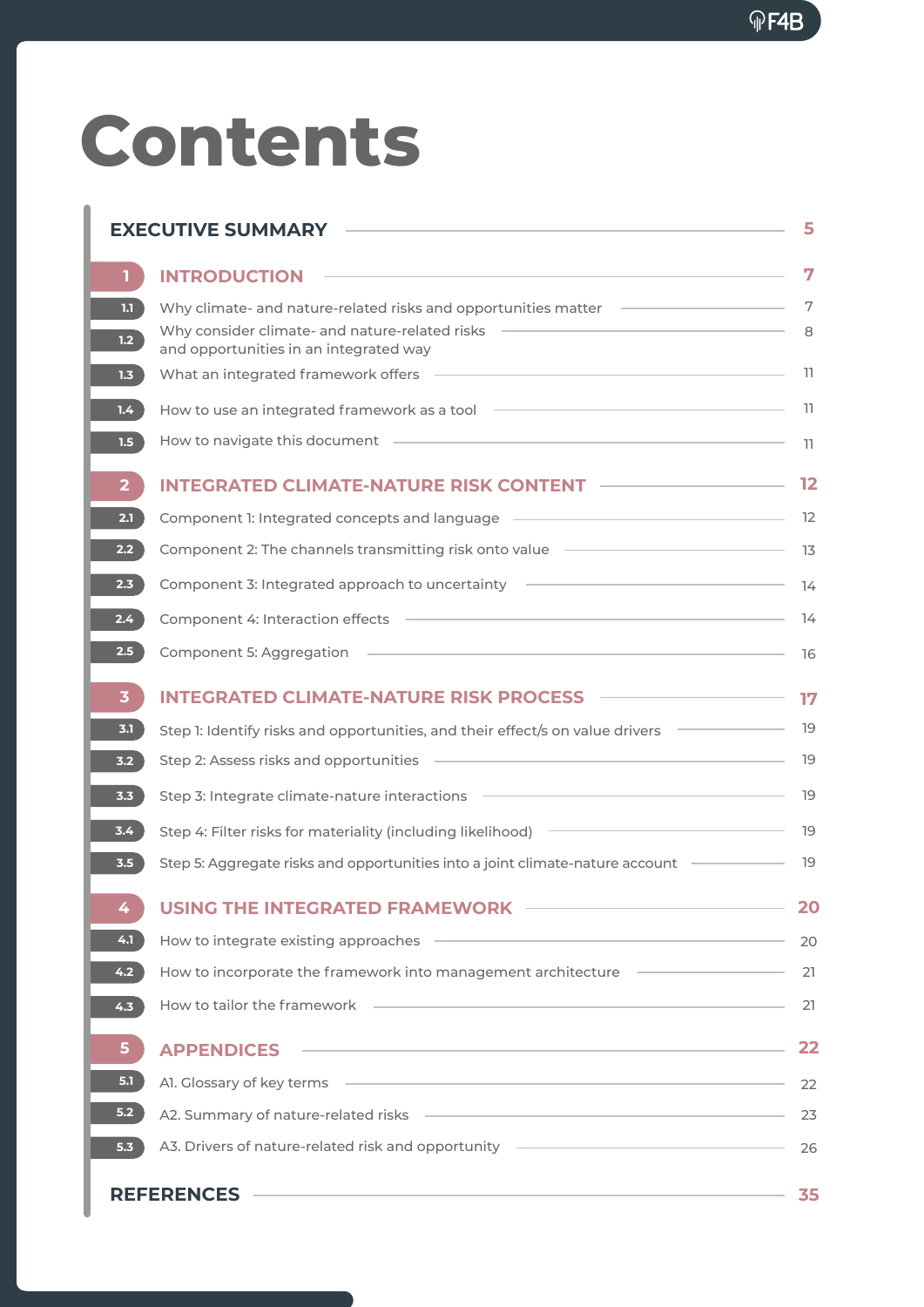# **Contents**

| <b>EXECUTIVE SUMMARY</b> |                                                                                                                                   |    |  |  |
|--------------------------|-----------------------------------------------------------------------------------------------------------------------------------|----|--|--|
| T.                       | <b>INTRODUCTION</b>                                                                                                               | 7  |  |  |
| 1.1                      | Why climate- and nature-related risks and opportunities matter                                                                    | 7  |  |  |
| 1.2 <sub>2</sub>         | Why consider climate- and nature-related risks<br>and opportunities in an integrated way                                          | 8  |  |  |
| 1.3                      | What an integrated framework offers                                                                                               | 11 |  |  |
| 1.4 <sub>2</sub>         | How to use an integrated framework as a tool                                                                                      | 11 |  |  |
| 1.5                      | How to navigate this document                                                                                                     | 11 |  |  |
| $\mathbf{2}$             | <b>INTEGRATED CLIMATE-NATURE RISK CONTENT</b>                                                                                     | 12 |  |  |
| 2.1                      | Component 1: Integrated concepts and language -                                                                                   | 12 |  |  |
| 2.2 <sub>2</sub>         | Component 2: The channels transmitting risk onto value –                                                                          | 13 |  |  |
| 2.3                      | Component 3: Integrated approach to uncertainty                                                                                   | 14 |  |  |
| $2.4^{\circ}$            | Component 4: Interaction effects                                                                                                  | 14 |  |  |
| 2.5 <sub>2</sub>         | Component 5: Aggregation                                                                                                          | 16 |  |  |
| 3                        | <b>INTEGRATED CLIMATE-NATURE RISK PROCESS</b>                                                                                     | 17 |  |  |
| 3.1                      | Step 1: Identify risks and opportunities, and their effect/s on value drivers                                                     | 19 |  |  |
| 3.2                      | Step 2: Assess risks and opportunities                                                                                            | 19 |  |  |
| 3.3                      | Step 3: Integrate climate-nature interactions                                                                                     | 19 |  |  |
| 3.4                      | Step 4: Filter risks for materiality (including likelihood) –                                                                     | 19 |  |  |
| 3.5                      | Step 5: Aggregate risks and opportunities into a joint climate-nature account                                                     | 19 |  |  |
| 4                        | <b>USING THE INTEGRATED FRAMEWORK</b>                                                                                             | 20 |  |  |
| 4.1                      | the control of the control of the control of the control of the control of the control of<br>How to integrate existing approaches | 20 |  |  |
| 4.2                      | How to incorporate the framework into management architecture Theorem Community                                                   | 21 |  |  |
| 4.3                      | the control of the control of the control of the control of the control of the control of<br>How to tailor the framework          | 21 |  |  |
| 5                        | <u> 1980 - Johann Barn, amerikansk politiker (d. 1980)</u><br><b>APPENDICES</b>                                                   | 22 |  |  |
| 5.1                      | Al. Glossary of key terms entertainment and the state of the state of the state of the state of the state of the                  | 22 |  |  |
| 5.2                      |                                                                                                                                   | 23 |  |  |
| 5.3                      | A3. Drivers of nature-related risk and opportunity   ___________________________                                                  | 26 |  |  |
| <b>REFERENCES</b><br>35  |                                                                                                                                   |    |  |  |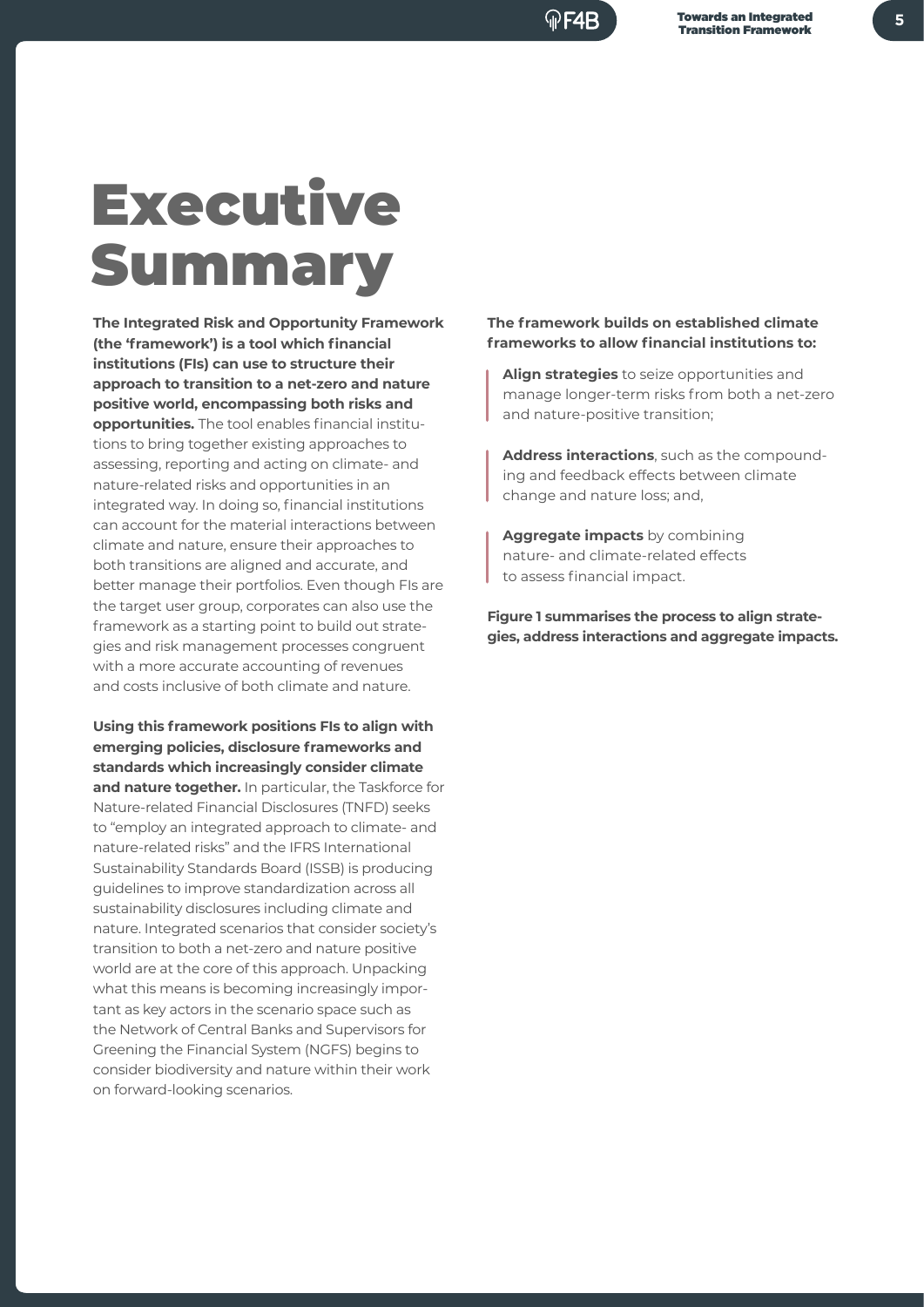## Executive Summary

**The Integrated Risk and Opportunity Framework (the 'framework') is a tool which financial institutions (FIs) can use to structure their approach to transition to a net-zero and nature positive world, encompassing both risks and opportunities.** The tool enables financial institutions to bring together existing approaches to assessing, reporting and acting on climate- and nature-related risks and opportunities in an integrated way. In doing so, financial institutions can account for the material interactions between climate and nature, ensure their approaches to both transitions are aligned and accurate, and better manage their portfolios. Even though FIs are the target user group, corporates can also use the framework as a starting point to build out strategies and risk management processes congruent with a more accurate accounting of revenues and costs inclusive of both climate and nature.

**Using this framework positions FIs to align with emerging policies, disclosure frameworks and standards which increasingly consider climate and nature together.** In particular, the Taskforce for Nature-related Financial Disclosures (TNFD) seeks to "employ an integrated approach to climate- and nature-related risks" and the IFRS International Sustainability Standards Board (ISSB) is producing guidelines to improve standardization across all sustainability disclosures including climate and nature. Integrated scenarios that consider society's transition to both a net-zero and nature positive world are at the core of this approach. Unpacking what this means is becoming increasingly important as key actors in the scenario space such as the Network of Central Banks and Supervisors for Greening the Financial System (NGFS) begins to consider biodiversity and nature within their work on forward-looking scenarios.

**The framework builds on established climate frameworks to allow financial institutions to:**

**Align strategies** to seize opportunities and manage longer-term risks from both a net-zero and nature-positive transition;

**Address interactions**, such as the compounding and feedback effects between climate change and nature loss; and,

**Aggregate impacts** by combining nature- and climate-related effects to assess financial impact.

**Figure 1 summarises the process to align strategies, address interactions and aggregate impacts.**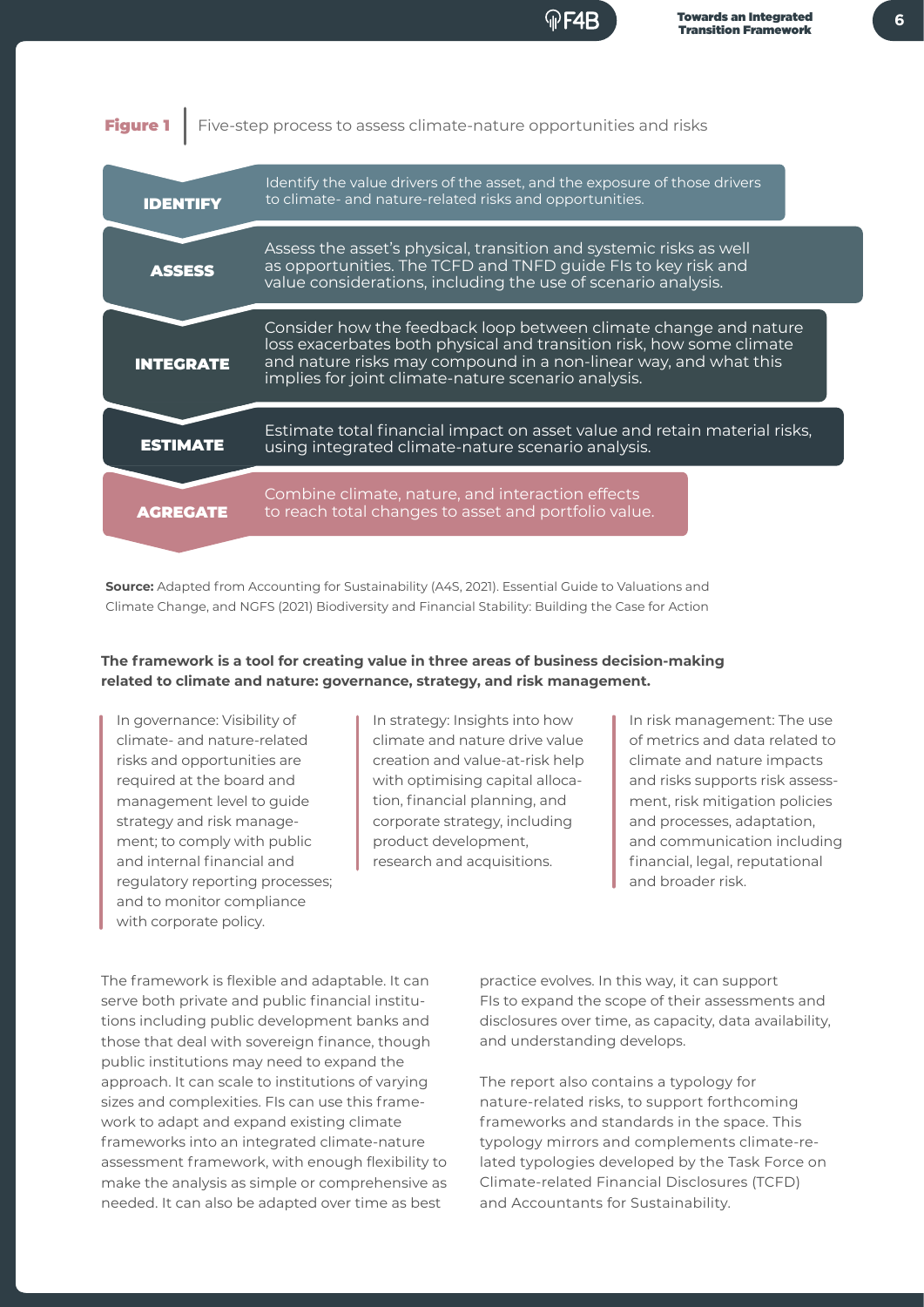



**Source:** Adapted from Accounting for Sustainability (A4S, 2021). Essential Guide to Valuations and Climate Change, and NGFS (2021) Biodiversity and Financial Stability: Building the Case for Action

#### **The framework is a tool for creating value in three areas of business decision-making related to climate and nature: governance, strategy, and risk management.**

In governance: Visibility of climate- and nature-related risks and opportunities are required at the board and management level to guide strategy and risk management; to comply with public and internal financial and regulatory reporting processes; and to monitor compliance with corporate policy.

In strategy: Insights into how climate and nature drive value creation and value-at-risk help with optimising capital allocation, financial planning, and corporate strategy, including product development, research and acquisitions.

In risk management: The use of metrics and data related to climate and nature impacts and risks supports risk assessment, risk mitigation policies and processes, adaptation, and communication including financial, legal, reputational and broader risk.

The framework is flexible and adaptable. It can serve both private and public financial institutions including public development banks and those that deal with sovereign finance, though public institutions may need to expand the approach. It can scale to institutions of varying sizes and complexities. FIs can use this framework to adapt and expand existing climate frameworks into an integrated climate-nature assessment framework, with enough flexibility to make the analysis as simple or comprehensive as needed. It can also be adapted over time as best

practice evolves. In this way, it can support FIs to expand the scope of their assessments and disclosures over time, as capacity, data availability, and understanding develops.

The report also contains a typology for nature-related risks, to support forthcoming frameworks and standards in the space. This typology mirrors and complements climate-related typologies developed by the Task Force on Climate-related Financial Disclosures (TCFD) and Accountants for Sustainability.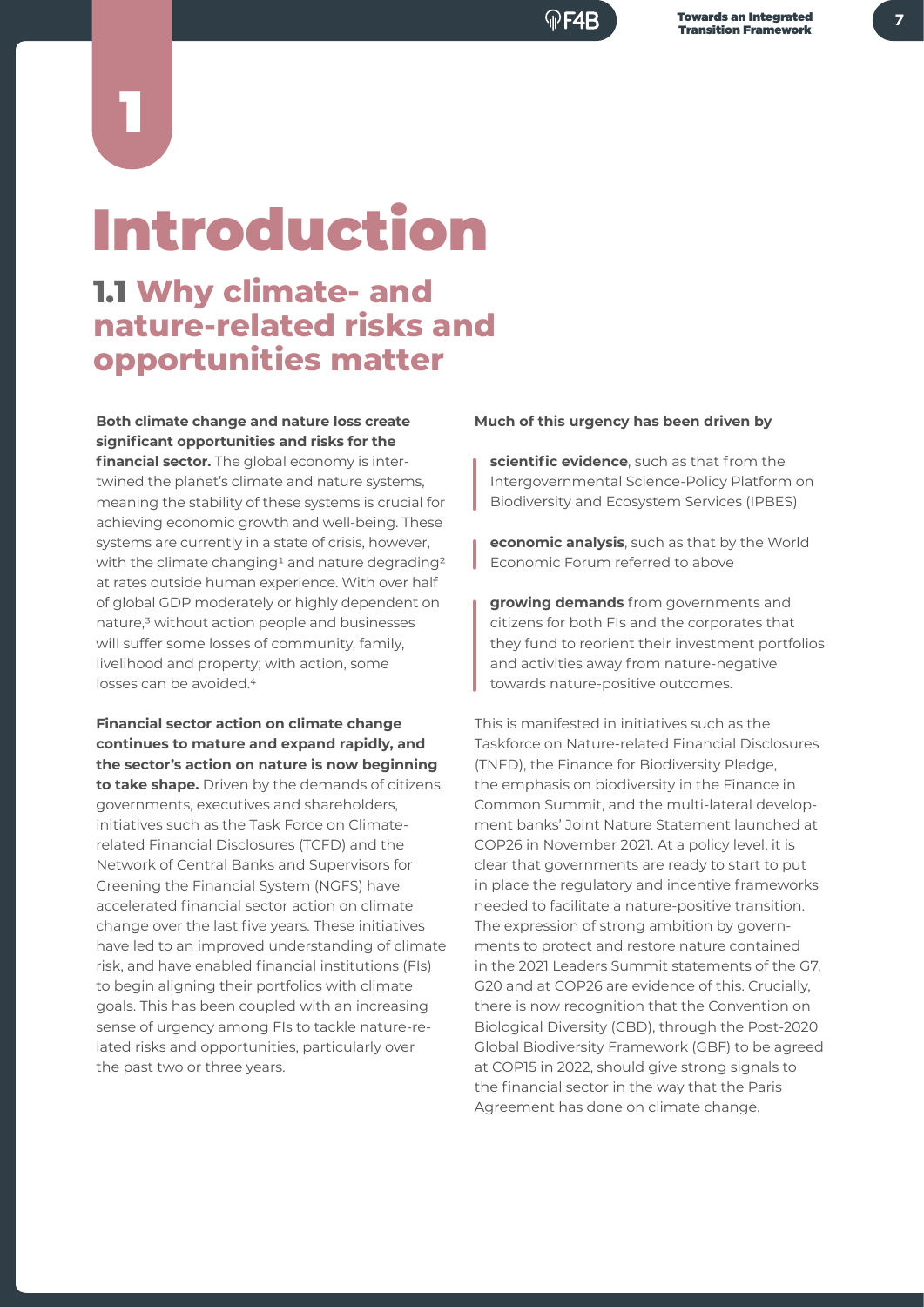# Introduction

1

## **1.1 Why climate- and nature-related risks and opportunities matter**

**Both climate change and nature loss create significant opportunities and risks for the financial sector.** The global economy is intertwined the planet's climate and nature systems, meaning the stability of these systems is crucial for achieving economic growth and well-being. These systems are currently in a state of crisis, however, with the climate changing<sup>1</sup> and nature degrading<sup>2</sup> at rates outside human experience. With over half of global GDP moderately or highly dependent on nature,3 without action people and businesses will suffer some losses of community, family, livelihood and property; with action, some losses can be avoided.4

**Financial sector action on climate change continues to mature and expand rapidly, and the sector's action on nature is now beginning to take shape.** Driven by the demands of citizens, governments, executives and shareholders, initiatives such as the Task Force on Climaterelated Financial Disclosures (TCFD) and the Network of Central Banks and Supervisors for Greening the Financial System (NGFS) have accelerated financial sector action on climate change over the last five years. These initiatives have led to an improved understanding of climate risk, and have enabled financial institutions (FIs) to begin aligning their portfolios with climate goals. This has been coupled with an increasing sense of urgency among FIs to tackle nature-related risks and opportunities, particularly over the past two or three years.

#### **Much of this urgency has been driven by**

**scientific evidence**, such as that from the Intergovernmental Science-Policy Platform on Biodiversity and Ecosystem Services (IPBES)

**economic analysis**, such as that by the World Economic Forum referred to above

**growing demands** from governments and citizens for both FIs and the corporates that they fund to reorient their investment portfolios and activities away from nature-negative towards nature-positive outcomes.

This is manifested in initiatives such as the Taskforce on Nature-related Financial Disclosures (TNFD), the Finance for Biodiversity Pledge, the emphasis on biodiversity in the Finance in Common Summit, and the multi-lateral development banks' Joint Nature Statement launched at COP26 in November 2021. At a policy level, it is clear that governments are ready to start to put in place the regulatory and incentive frameworks needed to facilitate a nature-positive transition. The expression of strong ambition by governments to protect and restore nature contained in the 2021 Leaders Summit statements of the G7, G20 and at COP26 are evidence of this. Crucially, there is now recognition that the Convention on Biological Diversity (CBD), through the Post-2020 Global Biodiversity Framework (GBF) to be agreed at COP15 in 2022, should give strong signals to the financial sector in the way that the Paris Agreement has done on climate change.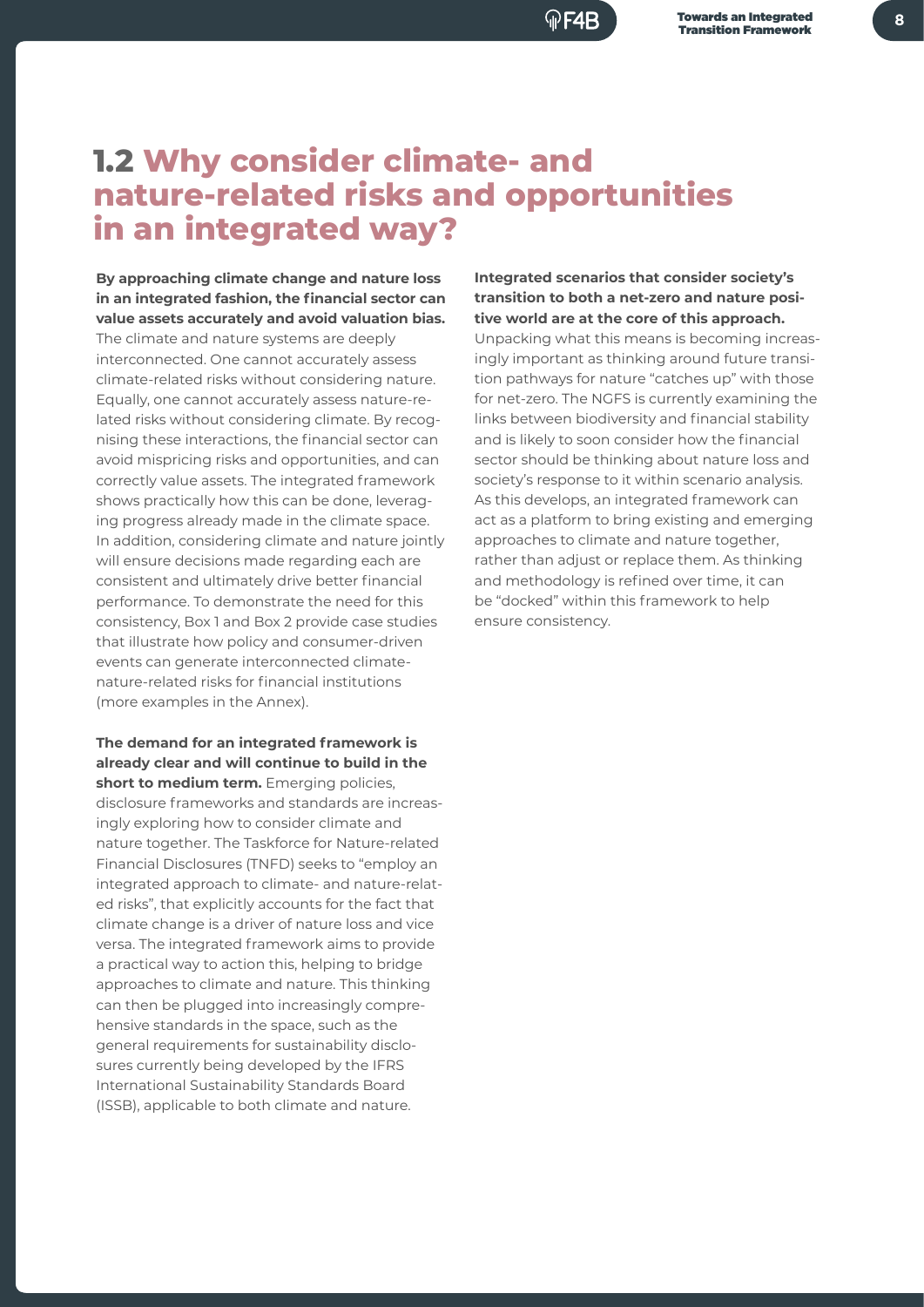#### <u>ଳ F4R</u>

## **1.2 Why consider climate- and nature-related risks and opportunities in an integrated way?**

**By approaching climate change and nature loss in an integrated fashion, the financial sector can value assets accurately and avoid valuation bias.** 

The climate and nature systems are deeply interconnected. One cannot accurately assess climate-related risks without considering nature. Equally, one cannot accurately assess nature-related risks without considering climate. By recognising these interactions, the financial sector can avoid mispricing risks and opportunities, and can correctly value assets. The integrated framework shows practically how this can be done, leveraging progress already made in the climate space. In addition, considering climate and nature jointly will ensure decisions made regarding each are consistent and ultimately drive better financial performance. To demonstrate the need for this consistency, Box 1 and Box 2 provide case studies that illustrate how policy and consumer-driven events can generate interconnected climatenature-related risks for financial institutions (more examples in the Annex).

**The demand for an integrated framework is already clear and will continue to build in the short to medium term.** Emerging policies, disclosure frameworks and standards are increasingly exploring how to consider climate and nature together. The Taskforce for Nature-related Financial Disclosures (TNFD) seeks to "employ an integrated approach to climate- and nature-related risks", that explicitly accounts for the fact that climate change is a driver of nature loss and vice versa. The integrated framework aims to provide a practical way to action this, helping to bridge approaches to climate and nature. This thinking can then be plugged into increasingly comprehensive standards in the space, such as the general requirements for sustainability disclosures currently being developed by the IFRS International Sustainability Standards Board (ISSB), applicable to both climate and nature.

**Integrated scenarios that consider society's transition to both a net-zero and nature positive world are at the core of this approach.**

Unpacking what this means is becoming increasingly important as thinking around future transition pathways for nature "catches up" with those for net-zero. The NGFS is currently examining the links between biodiversity and financial stability and is likely to soon consider how the financial sector should be thinking about nature loss and society's response to it within scenario analysis. As this develops, an integrated framework can act as a platform to bring existing and emerging approaches to climate and nature together, rather than adjust or replace them. As thinking and methodology is refined over time, it can be "docked" within this framework to help ensure consistency.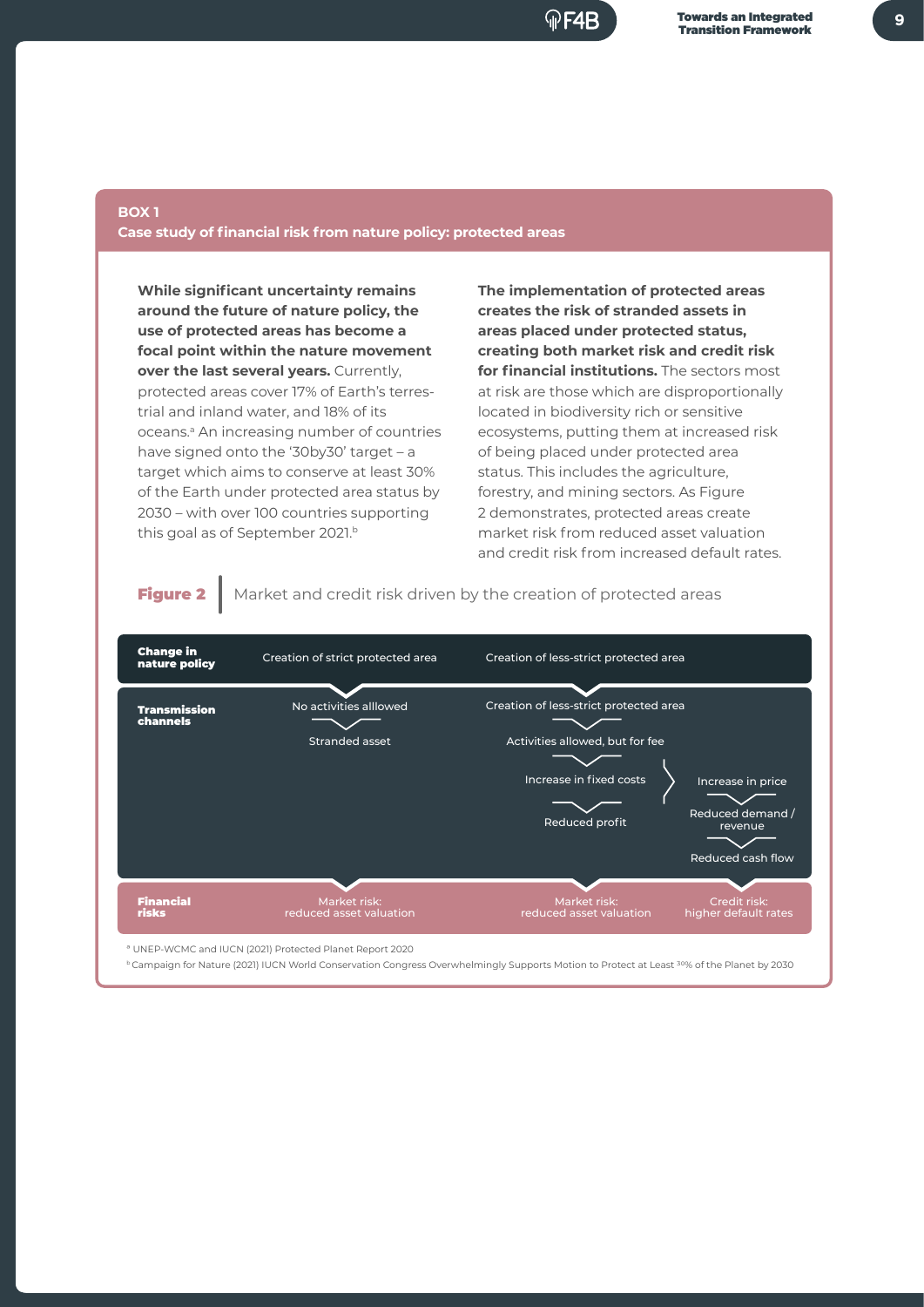

#### **BOX 1 Case study of financial risk from nature policy: protected areas**

**While significant uncertainty remains around the future of nature policy, the use of protected areas has become a focal point within the nature movement over the last several vears.** Currently, protected areas cover 17% of Earth's terrestrial and inland water, and 18% of its oceans.<sup>a</sup> An increasing number of countries have signed onto the '30by30' target – a target which aims to conserve at least 30% of the Earth under protected area status by 2030 – with over 100 countries supporting this goal as of September 2021.b

**The implementation of protected areas creates the risk of stranded assets in areas placed under protected status, creating both market risk and credit risk for financial institutions.** The sectors most at risk are those which are disproportionally located in biodiversity rich or sensitive ecosystems, putting them at increased risk of being placed under protected area status. This includes the agriculture, forestry, and mining sectors. As Figure 2 demonstrates, protected areas create market risk from reduced asset valuation and credit risk from increased default rates.

Figure 2 | Market and credit risk driven by the creation of protected areas

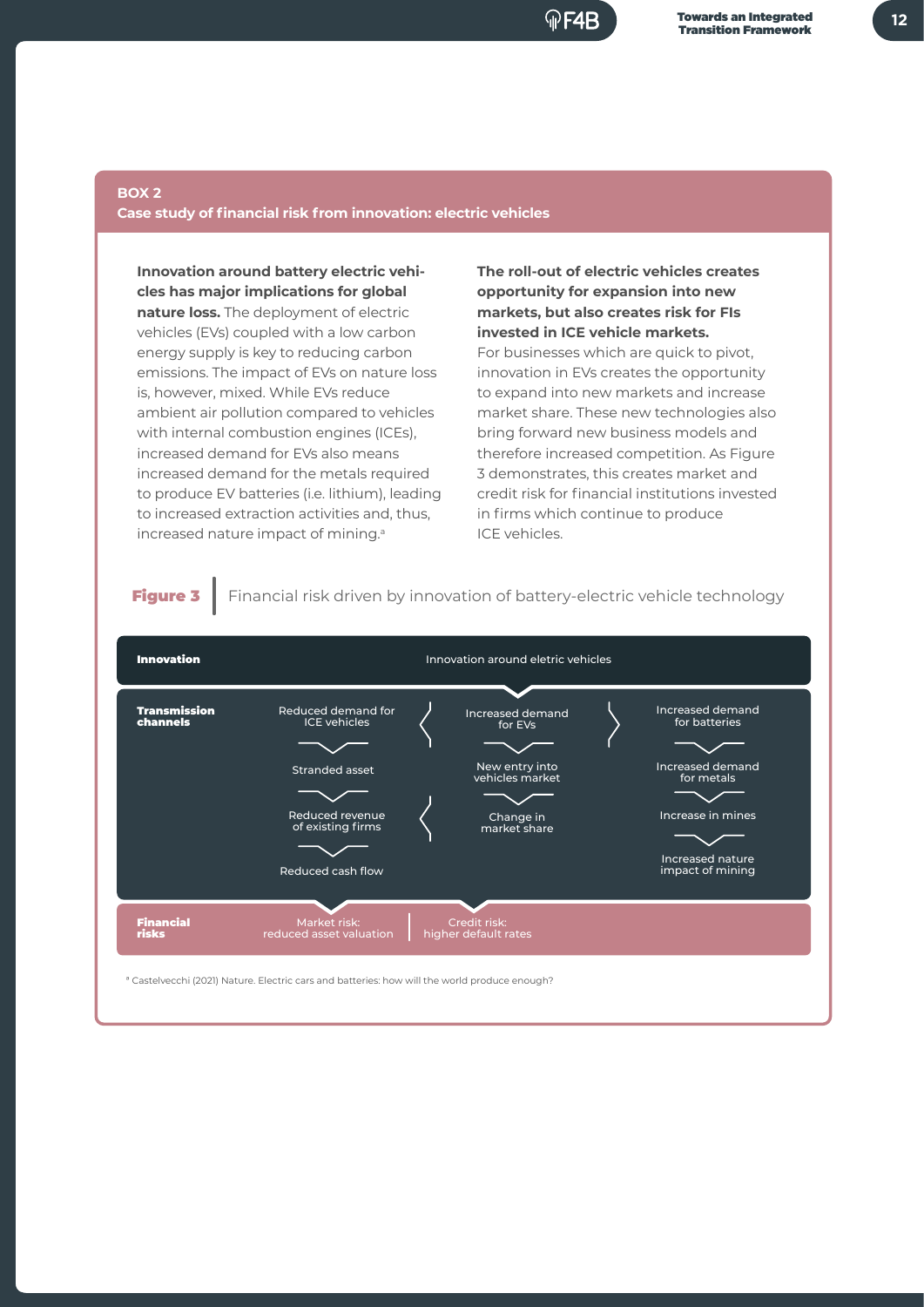

#### **BOX 2**

#### **Case study of financial risk from innovation: electric vehicles**

**Innovation around battery electric vehicles has major implications for global nature loss.** The deployment of electric vehicles (EVs) coupled with a low carbon energy supply is key to reducing carbon emissions. The impact of EVs on nature loss is, however, mixed. While EVs reduce ambient air pollution compared to vehicles with internal combustion engines (ICEs), increased demand for EVs also means increased demand for the metals required to produce EV batteries (i.e. lithium), leading to increased extraction activities and, thus, increased nature impact of mining.<sup>a</sup>

**The roll-out of electric vehicles creates opportunity for expansion into new markets, but also creates risk for FIs invested in ICE vehicle markets.**

For businesses which are quick to pivot, innovation in EVs creates the opportunity to expand into new markets and increase market share. These new technologies also bring forward new business models and therefore increased competition. As Figure 3 demonstrates, this creates market and credit risk for financial institutions invested in firms which continue to produce ICE vehicles.



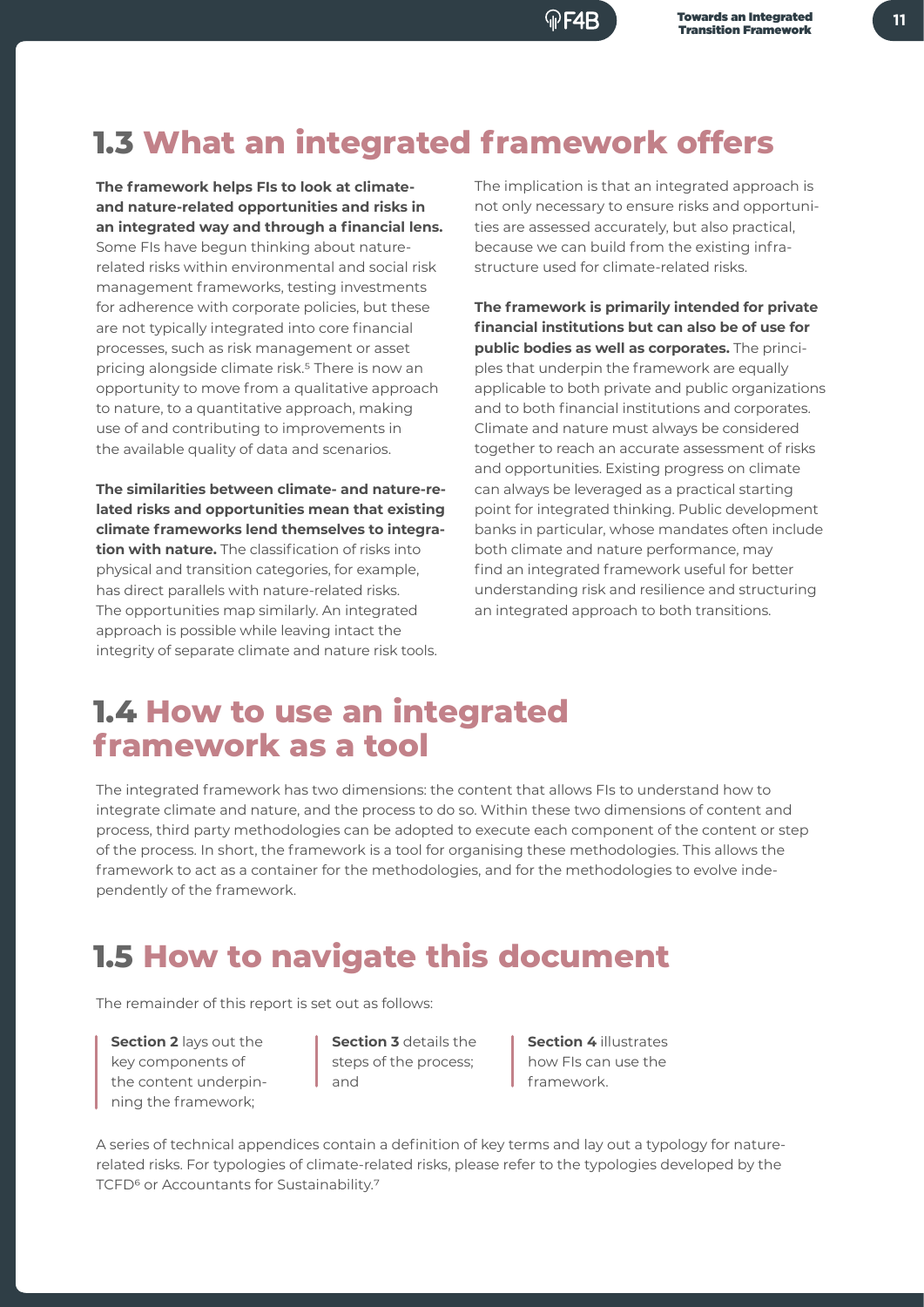Towards an Integrated

## **1.3 What an integrated framework offers**

**The framework helps FIs to look at climateand nature-related opportunities and risks in an integrated way and through a financial lens.**  Some FIs have begun thinking about nature-

related risks within environmental and social risk management frameworks, testing investments for adherence with corporate policies, but these are not typically integrated into core financial processes, such as risk management or asset pricing alongside climate risk.<sup>5</sup> There is now an opportunity to move from a qualitative approach to nature, to a quantitative approach, making use of and contributing to improvements in the available quality of data and scenarios.

**The similarities between climate- and nature-related risks and opportunities mean that existing climate frameworks lend themselves to integration with nature.** The classification of risks into physical and transition categories, for example, has direct parallels with nature-related risks. The opportunities map similarly. An integrated approach is possible while leaving intact the integrity of separate climate and nature risk tools.

The implication is that an integrated approach is not only necessary to ensure risks and opportunities are assessed accurately, but also practical, because we can build from the existing infrastructure used for climate-related risks.

**The framework is primarily intended for private financial institutions but can also be of use for public bodies as well as corporates.** The principles that underpin the framework are equally applicable to both private and public organizations and to both financial institutions and corporates. Climate and nature must always be considered together to reach an accurate assessment of risks and opportunities. Existing progress on climate can always be leveraged as a practical starting point for integrated thinking. Public development banks in particular, whose mandates often include both climate and nature performance, may find an integrated framework useful for better understanding risk and resilience and structuring an integrated approach to both transitions.

### **1.4 How to use an integrated framework as a tool**

The integrated framework has two dimensions: the content that allows FIs to understand how to integrate climate and nature, and the process to do so. Within these two dimensions of content and process, third party methodologies can be adopted to execute each component of the content or step of the process. In short, the framework is a tool for organising these methodologies. This allows the framework to act as a container for the methodologies, and for the methodologies to evolve independently of the framework.

## **1.5 How to navigate this document**

The remainder of this report is set out as follows:

**Section 2** lays out the key components of the content underpinning the framework;

**Section 3** details the steps of the process; and

**Section 4** illustrates how FIs can use the framework.

A series of technical appendices contain a definition of key terms and lay out a typology for naturerelated risks. For typologies of climate-related risks, please refer to the typologies developed by the TCFD<sup>6</sup> or Accountants for Sustainability.<sup>7</sup>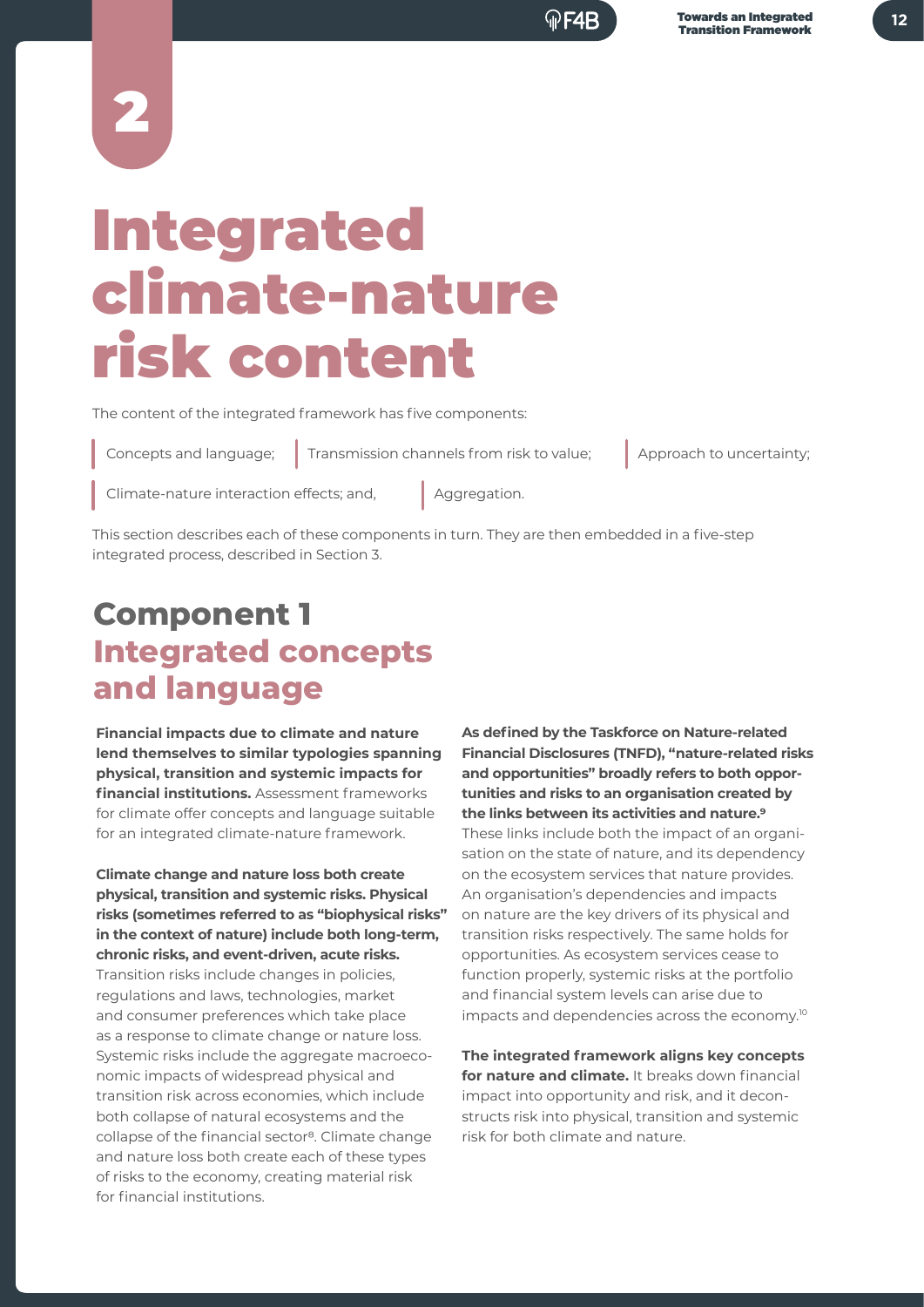# 2

## Integrated climate-nature risk content

The content of the integrated framework has five components:

Concepts and language;

Transmission channels from risk to value; <br> Approach to uncertainty;

Climate-nature interaction effects; and,

Aggregation.

This section describes each of these components in turn. They are then embedded in a five-step integrated process, described in Section 3.

## **Component 1 Integrated concepts and language**

**Financial impacts due to climate and nature lend themselves to similar typologies spanning physical, transition and systemic impacts for financial institutions.** Assessment frameworks for climate offer concepts and language suitable for an integrated climate-nature framework.

**Climate change and nature loss both create physical, transition and systemic risks. Physical risks (sometimes referred to as "biophysical risks" in the context of nature) include both long-term, chronic risks, and event-driven, acute risks.**  Transition risks include changes in policies, regulations and laws, technologies, market and consumer preferences which take place as a response to climate change or nature loss. Systemic risks include the aggregate macroeconomic impacts of widespread physical and transition risk across economies, which include both collapse of natural ecosystems and the collapse of the financial sector<sup>8</sup>. Climate change and nature loss both create each of these types of risks to the economy, creating material risk for financial institutions.

**As defined by the Taskforce on Nature-related Financial Disclosures (TNFD), "nature-related risks and opportunities" broadly refers to both opportunities and risks to an organisation created by the links between its activities and nature.9** These links include both the impact of an organisation on the state of nature, and its dependency on the ecosystem services that nature provides. An organisation's dependencies and impacts on nature are the key drivers of its physical and transition risks respectively. The same holds for opportunities. As ecosystem services cease to function properly, systemic risks at the portfolio and financial system levels can arise due to impacts and dependencies across the economy.10

**The integrated framework aligns key concepts for nature and climate.** It breaks down financial impact into opportunity and risk, and it deconstructs risk into physical, transition and systemic risk for both climate and nature.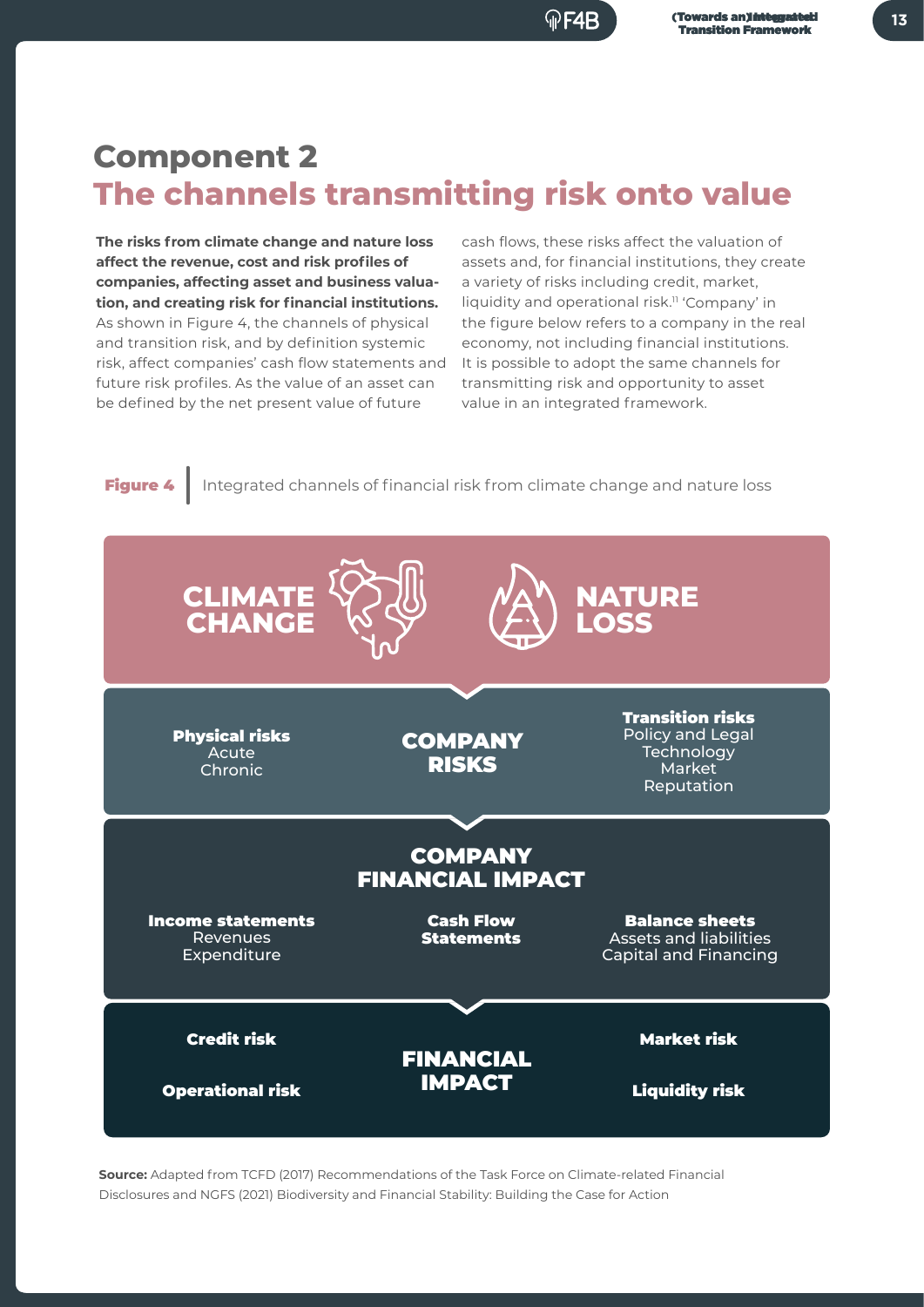## **Component 2 The channels transmitting risk onto value**

**The risks from climate change and nature loss affect the revenue, cost and risk profiles of companies, affecting asset and business valuation, and creating risk for financial institutions.** As shown in Figure 4, the channels of physical and transition risk, and by definition systemic risk, affect companies' cash flow statements and future risk profiles. As the value of an asset can be defined by the net present value of future

cash flows, these risks affect the valuation of assets and, for financial institutions, they create a variety of risks including credit, market, liquidity and operational risk.11 'Company' in the figure below refers to a company in the real economy, not including financial institutions. It is possible to adopt the same channels for transmitting risk and opportunity to asset value in an integrated framework.



**Source:** Adapted from TCFD (2017) Recommendations of the Task Force on Climate-related Financial Disclosures and NGFS (2021) Biodiversity and Financial Stability: Building the Case for Action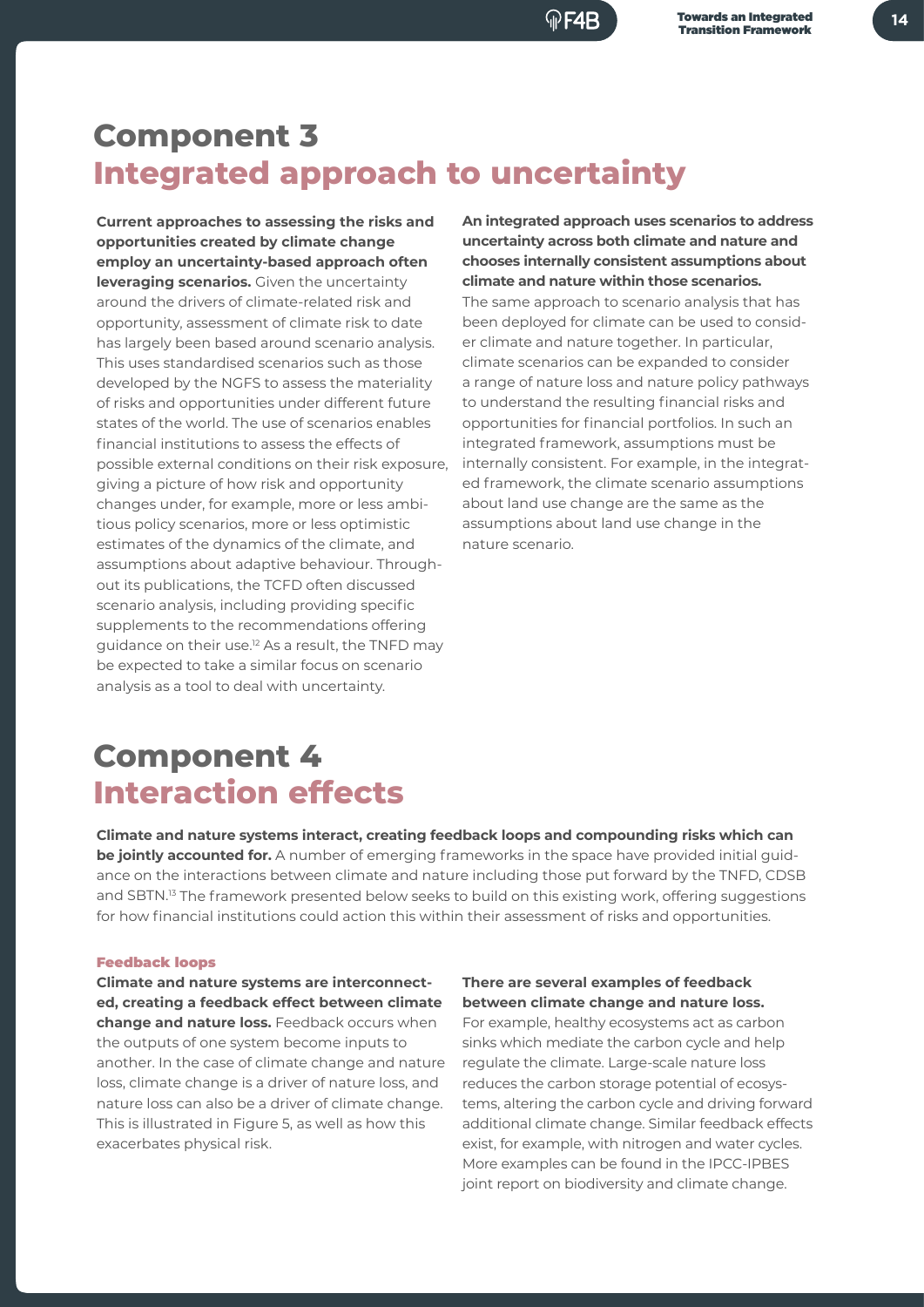## **Component 3 Integrated approach to uncertainty**

**Current approaches to assessing the risks and opportunities created by climate change employ an uncertainty-based approach often leveraging scenarios.** Given the uncertainty around the drivers of climate-related risk and opportunity, assessment of climate risk to date has largely been based around scenario analysis. This uses standardised scenarios such as those developed by the NGFS to assess the materiality of risks and opportunities under different future states of the world. The use of scenarios enables financial institutions to assess the effects of possible external conditions on their risk exposure, giving a picture of how risk and opportunity changes under, for example, more or less ambitious policy scenarios, more or less optimistic estimates of the dynamics of the climate, and assumptions about adaptive behaviour. Throughout its publications, the TCFD often discussed scenario analysis, including providing specific supplements to the recommendations offering guidance on their use.12 As a result, the TNFD may be expected to take a similar focus on scenario analysis as a tool to deal with uncertainty.

**An integrated approach uses scenarios to address uncertainty across both climate and nature and chooses internally consistent assumptions about climate and nature within those scenarios.**

The same approach to scenario analysis that has been deployed for climate can be used to consider climate and nature together. In particular, climate scenarios can be expanded to consider a range of nature loss and nature policy pathways to understand the resulting financial risks and opportunities for financial portfolios. In such an integrated framework, assumptions must be internally consistent. For example, in the integrated framework, the climate scenario assumptions about land use change are the same as the assumptions about land use change in the nature scenario.

## **Component 4 Interaction effects**

**Climate and nature systems interact, creating feedback loops and compounding risks which can be jointly accounted for.** A number of emerging frameworks in the space have provided initial guidance on the interactions between climate and nature including those put forward by the TNFD, CDSB and SBTN.<sup>13</sup> The framework presented below seeks to build on this existing work, offering suggestions for how financial institutions could action this within their assessment of risks and opportunities.

#### Feedback loops

**Climate and nature systems are interconnected, creating a feedback effect between climate change and nature loss.** Feedback occurs when the outputs of one system become inputs to another. In the case of climate change and nature loss, climate change is a driver of nature loss, and nature loss can also be a driver of climate change. This is illustrated in Figure 5, as well as how this exacerbates physical risk.

**There are several examples of feedback between climate change and nature loss.** For example, healthy ecosystems act as carbon sinks which mediate the carbon cycle and help

regulate the climate. Large-scale nature loss reduces the carbon storage potential of ecosystems, altering the carbon cycle and driving forward additional climate change. Similar feedback effects exist, for example, with nitrogen and water cycles. More examples can be found in the IPCC-IPBES joint report on biodiversity and climate change.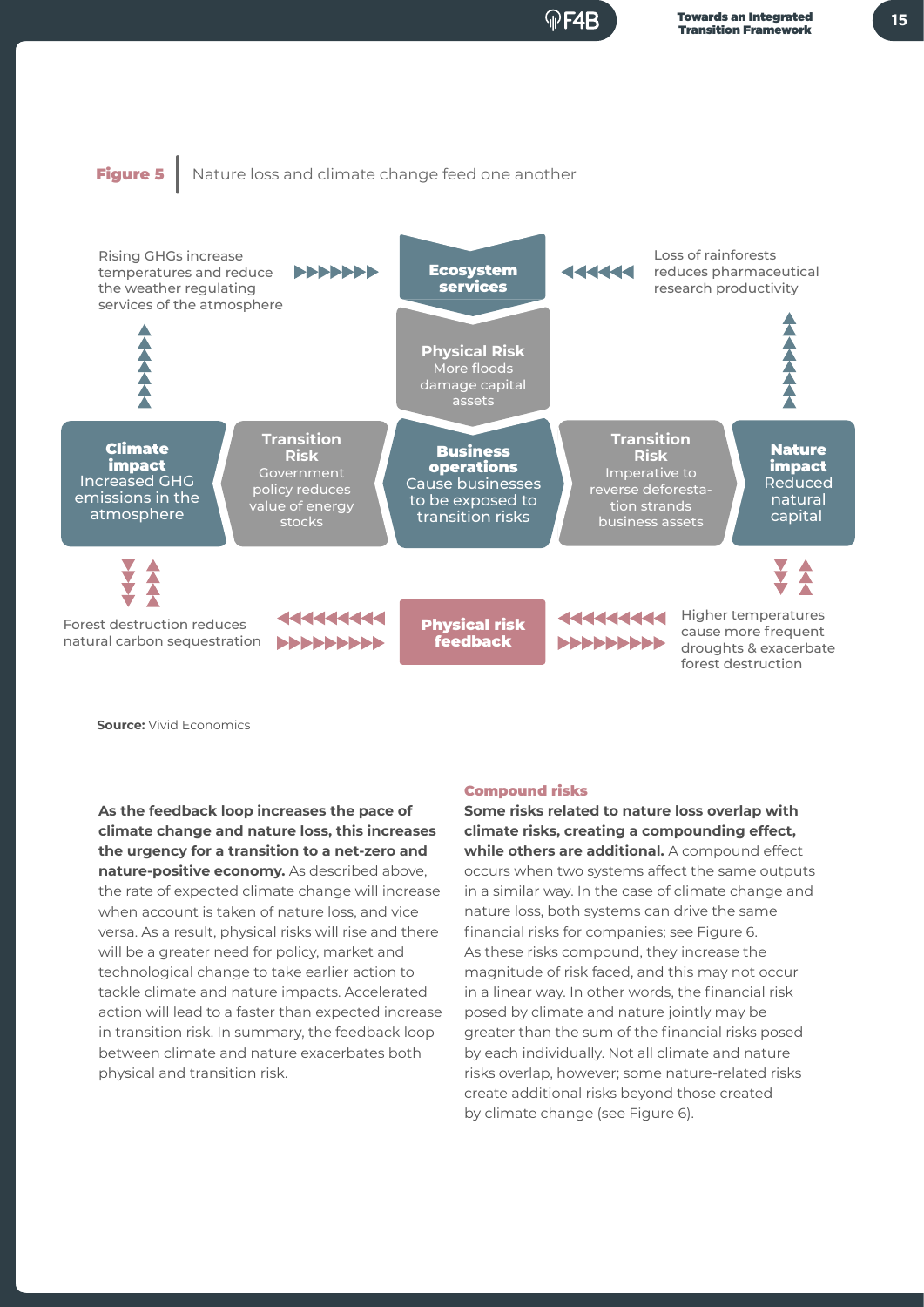### Figure 5 | Nature loss and climate change feed one another



**Source:** Vivid Economics

**As the feedback loop increases the pace of climate change and nature loss, this increases the urgency for a transition to a net-zero and nature-positive economy.** As described above, the rate of expected climate change will increase when account is taken of nature loss, and vice versa. As a result, physical risks will rise and there will be a greater need for policy, market and technological change to take earlier action to tackle climate and nature impacts. Accelerated action will lead to a faster than expected increase in transition risk. In summary, the feedback loop between climate and nature exacerbates both physical and transition risk.

#### Compound risks

**Some risks related to nature loss overlap with climate risks, creating a compounding effect, while others are additional.** A compound effect occurs when two systems affect the same outputs in a similar way. In the case of climate change and nature loss, both systems can drive the same financial risks for companies; see Figure 6. As these risks compound, they increase the magnitude of risk faced, and this may not occur in a linear way. In other words, the financial risk posed by climate and nature jointly may be greater than the sum of the financial risks posed by each individually. Not all climate and nature risks overlap, however; some nature-related risks create additional risks beyond those created by climate change (see Figure 6).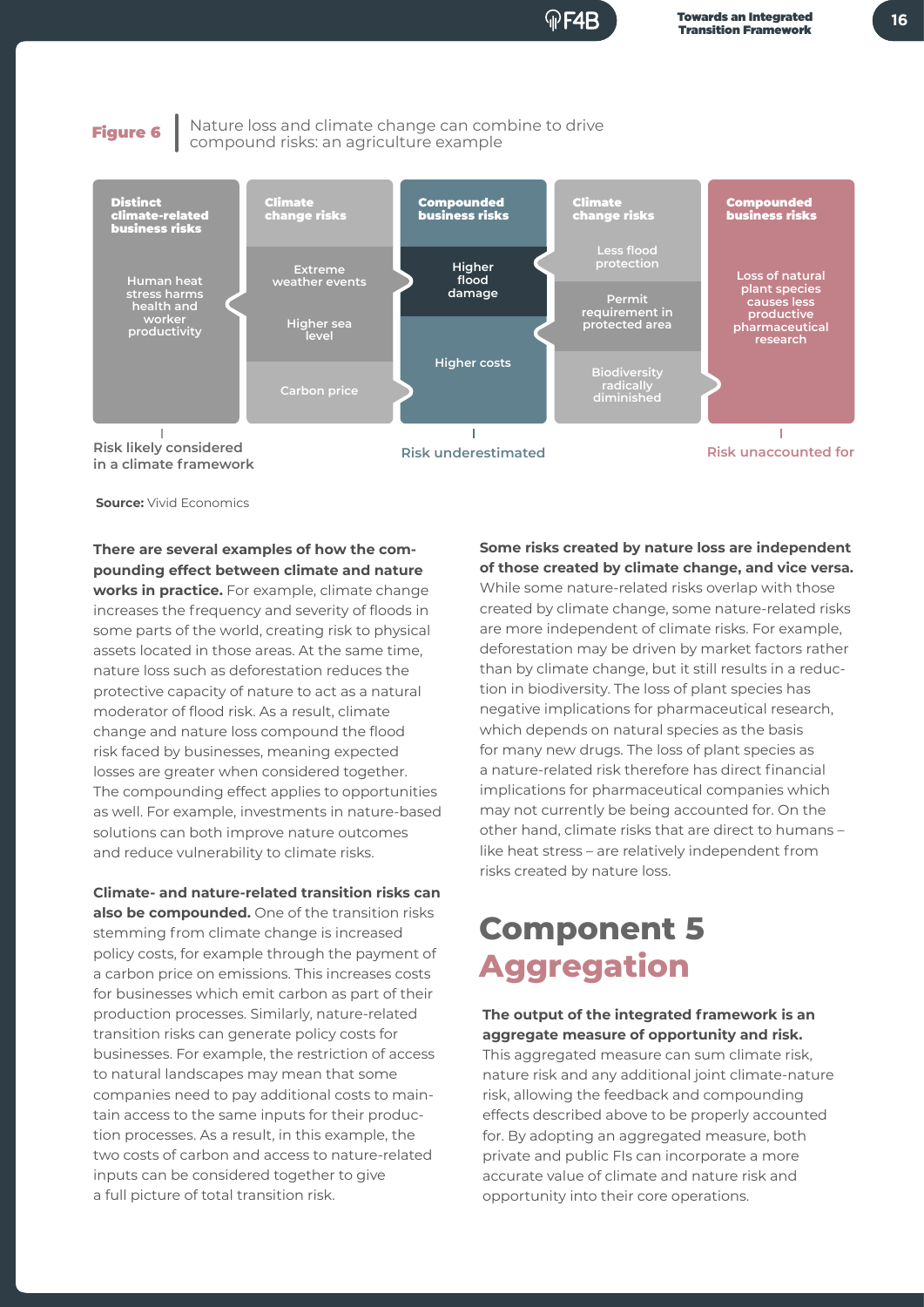F4R

Figure 6 Nature loss and climate change can combine to drive compound risks: an agriculture example



**Source:** Vivid Economics

**There are several examples of how the compounding effect between climate and nature works in practice.** For example, climate change

increases the frequency and severity of floods in some parts of the world, creating risk to physical assets located in those areas. At the same time, nature loss such as deforestation reduces the protective capacity of nature to act as a natural moderator of flood risk. As a result, climate change and nature loss compound the flood risk faced by businesses, meaning expected losses are greater when considered together. The compounding effect applies to opportunities as well. For example, investments in nature-based solutions can both improve nature outcomes and reduce vulnerability to climate risks.

**Climate- and nature-related transition risks can also be compounded.** One of the transition risks stemming from climate change is increased policy costs, for example through the payment of a carbon price on emissions. This increases costs for businesses which emit carbon as part of their production processes. Similarly, nature-related transition risks can generate policy costs for businesses. For example, the restriction of access to natural landscapes may mean that some companies need to pay additional costs to maintain access to the same inputs for their production processes. As a result, in this example, the two costs of carbon and access to nature-related inputs can be considered together to give a full picture of total transition risk.

**Some risks created by nature loss are independent of those created by climate change, and vice versa.**  While some nature-related risks overlap with those created by climate change, some nature-related risks are more independent of climate risks. For example, deforestation may be driven by market factors rather than by climate change, but it still results in a reduction in biodiversity. The loss of plant species has negative implications for pharmaceutical research, which depends on natural species as the basis for many new drugs. The loss of plant species as a nature-related risk therefore has direct financial implications for pharmaceutical companies which may not currently be being accounted for. On the other hand, climate risks that are direct to humans – like heat stress – are relatively independent from risks created by nature loss.

## **Component 5 Aggregation**

#### **The output of the integrated framework is an aggregate measure of opportunity and risk.**

This aggregated measure can sum climate risk, nature risk and any additional joint climate-nature risk, allowing the feedback and compounding effects described above to be properly accounted for. By adopting an aggregated measure, both private and public FIs can incorporate a more accurate value of climate and nature risk and opportunity into their core operations.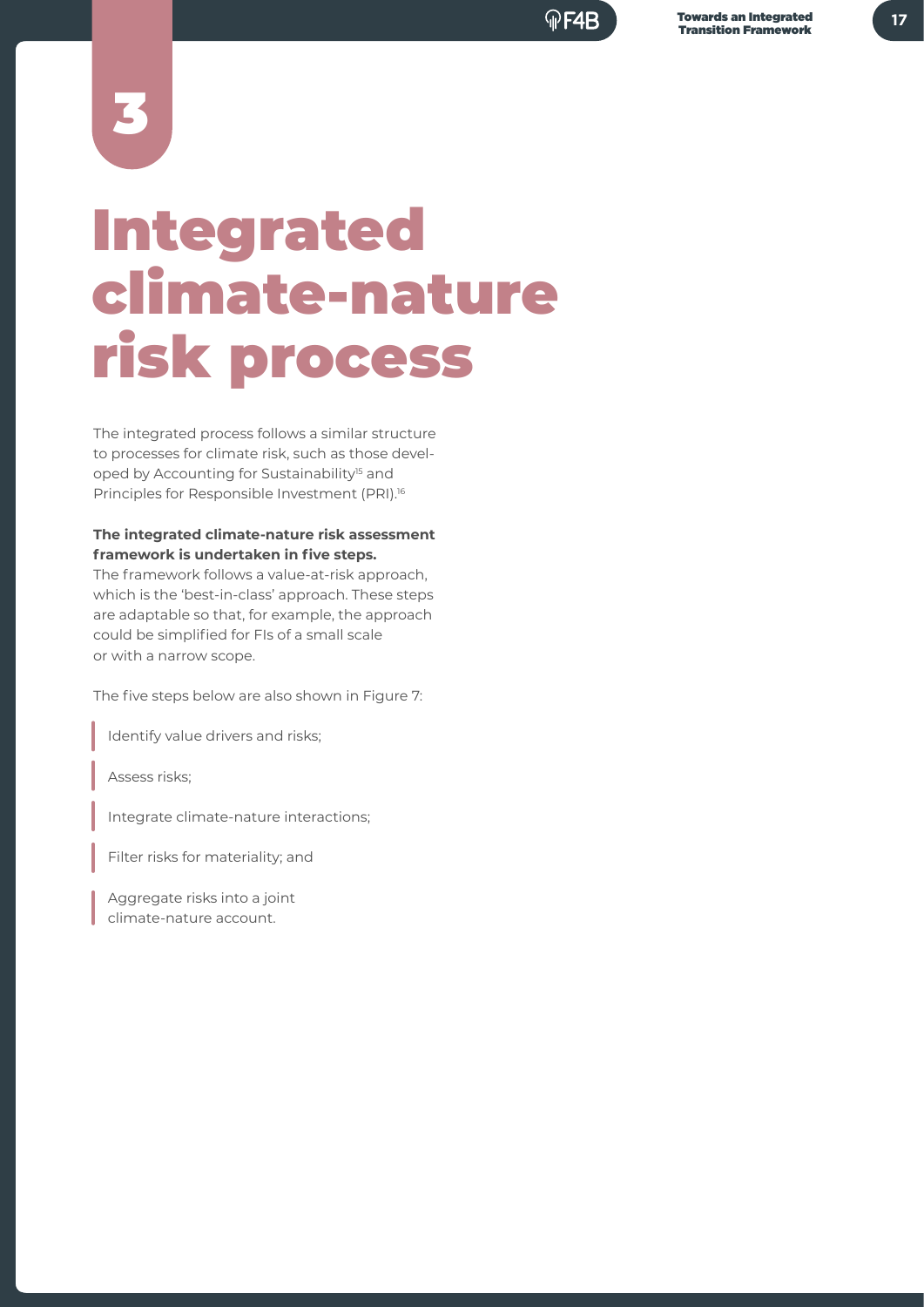3

## Integrated climate-nature risk process

The integrated process follows a similar structure to processes for climate risk, such as those developed by Accounting for Sustainability<sup>15</sup> and Principles for Responsible Investment (PRI).16

#### **The integrated climate-nature risk assessment framework is undertaken in five steps.**

The framework follows a value-at-risk approach, which is the 'best-in-class' approach. These steps are adaptable so that, for example, the approach could be simplified for FIs of a small scale or with a narrow scope.

The five steps below are also shown in Figure 7:

Identify value drivers and risks;

Assess risks;

Integrate climate-nature interactions;

Filter risks for materiality; and

 Aggregate risks into a joint climate-nature account.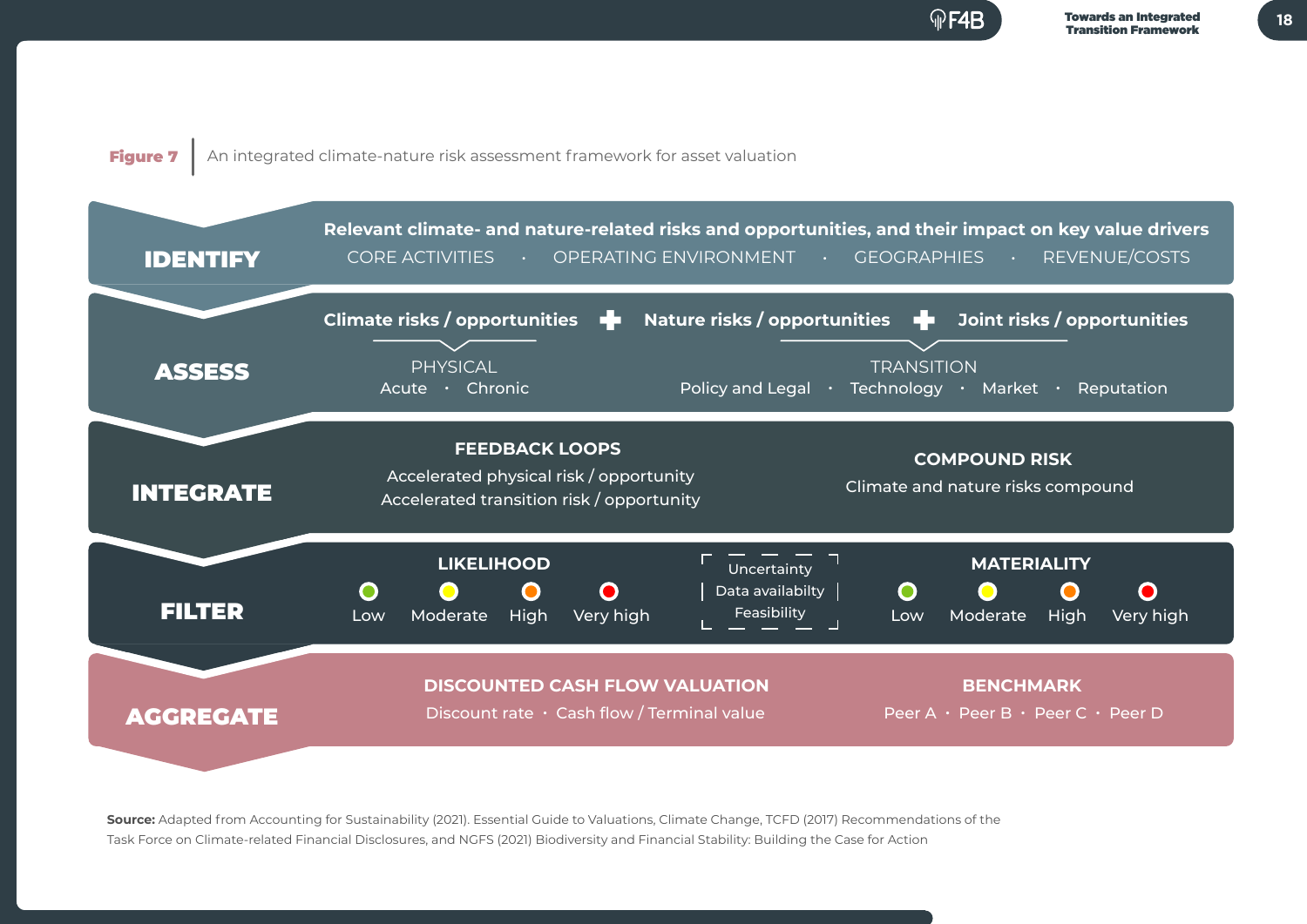**18**

### Figure 7 An integrated climate-nature risk assessment framework for asset valuation



**Source:** Adapted from Accounting for Sustainability (2021). Essential Guide to Valuations, Climate Change, TCFD (2017) Recommendations of the Task Force on Climate-related Financial Disclosures, and NGFS (2021) Biodiversity and Financial Stability: Building the Case for Action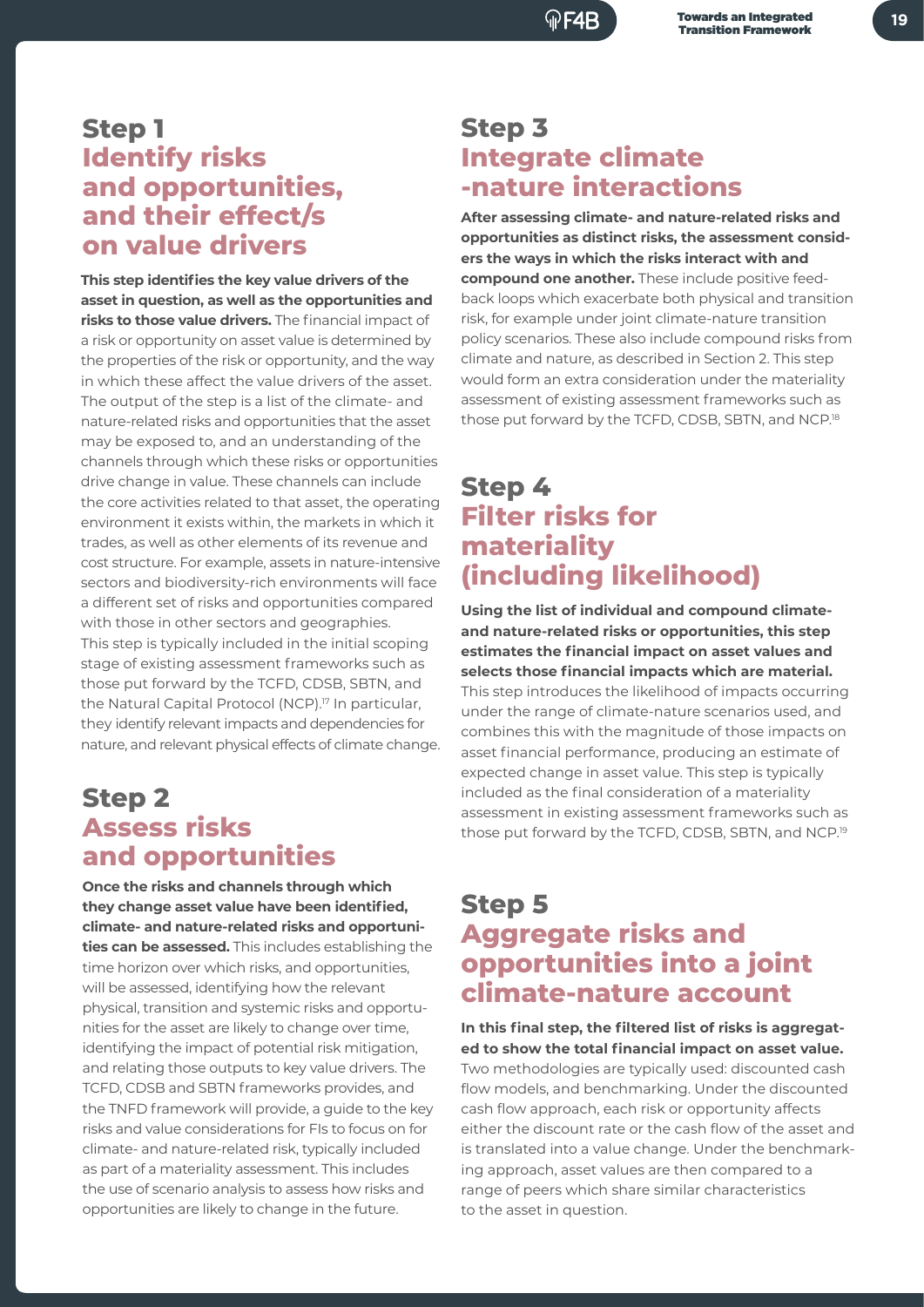### **Step 1 Identify risks and opportunities, and their effect/s on value drivers**

**This step identifies the key value drivers of the asset in question, as well as the opportunities and risks to those value drivers.** The financial impact of a risk or opportunity on asset value is determined by the properties of the risk or opportunity, and the way in which these affect the value drivers of the asset. The output of the step is a list of the climate- and nature-related risks and opportunities that the asset may be exposed to, and an understanding of the channels through which these risks or opportunities drive change in value. These channels can include the core activities related to that asset, the operating environment it exists within, the markets in which it trades, as well as other elements of its revenue and cost structure. For example, assets in nature-intensive sectors and biodiversity-rich environments will face a different set of risks and opportunities compared with those in other sectors and geographies. This step is typically included in the initial scoping stage of existing assessment frameworks such as those put forward by the TCFD, CDSB, SBTN, and the Natural Capital Protocol (NCP).<sup>17</sup> In particular, they identify relevant impacts and dependencies for nature, and relevant physical effects of climate change.

### **Step 2 Assess risks and opportunities**

**Once the risks and channels through which they change asset value have been identified, climate- and nature-related risks and opportunities can be assessed.** This includes establishing the time horizon over which risks, and opportunities, will be assessed, identifying how the relevant physical, transition and systemic risks and opportunities for the asset are likely to change over time, identifying the impact of potential risk mitigation, and relating those outputs to key value drivers. The TCFD, CDSB and SBTN frameworks provides, and the TNFD framework will provide, a guide to the key risks and value considerations for FIs to focus on for climate- and nature-related risk, typically included as part of a materiality assessment. This includes the use of scenario analysis to assess how risks and opportunities are likely to change in the future.

### **Step 3 Integrate climate -nature interactions**

**After assessing climate- and nature-related risks and opportunities as distinct risks, the assessment considers the ways in which the risks interact with and compound one another.** These include positive feedback loops which exacerbate both physical and transition risk, for example under joint climate-nature transition policy scenarios. These also include compound risks from climate and nature, as described in Section 2. This step would form an extra consideration under the materiality assessment of existing assessment frameworks such as those put forward by the TCFD, CDSB, SBTN, and NCP.<sup>18</sup>

### **Step 4 Filter risks for materiality (including likelihood)**

**Using the list of individual and compound climateand nature-related risks or opportunities, this step estimates the financial impact on asset values and selects those financial impacts which are material.**

This step introduces the likelihood of impacts occurring under the range of climate-nature scenarios used, and combines this with the magnitude of those impacts on asset financial performance, producing an estimate of expected change in asset value. This step is typically included as the final consideration of a materiality assessment in existing assessment frameworks such as those put forward by the TCFD, CDSB, SBTN, and NCP.<sup>19</sup>

### **Step 5 Aggregate risks and opportunities into a joint climate-nature account**

**In this final step, the filtered list of risks is aggregated to show the total financial impact on asset value.**

Two methodologies are typically used: discounted cash flow models, and benchmarking. Under the discounted cash flow approach, each risk or opportunity affects either the discount rate or the cash flow of the asset and is translated into a value change. Under the benchmarking approach, asset values are then compared to a range of peers which share similar characteristics to the asset in question.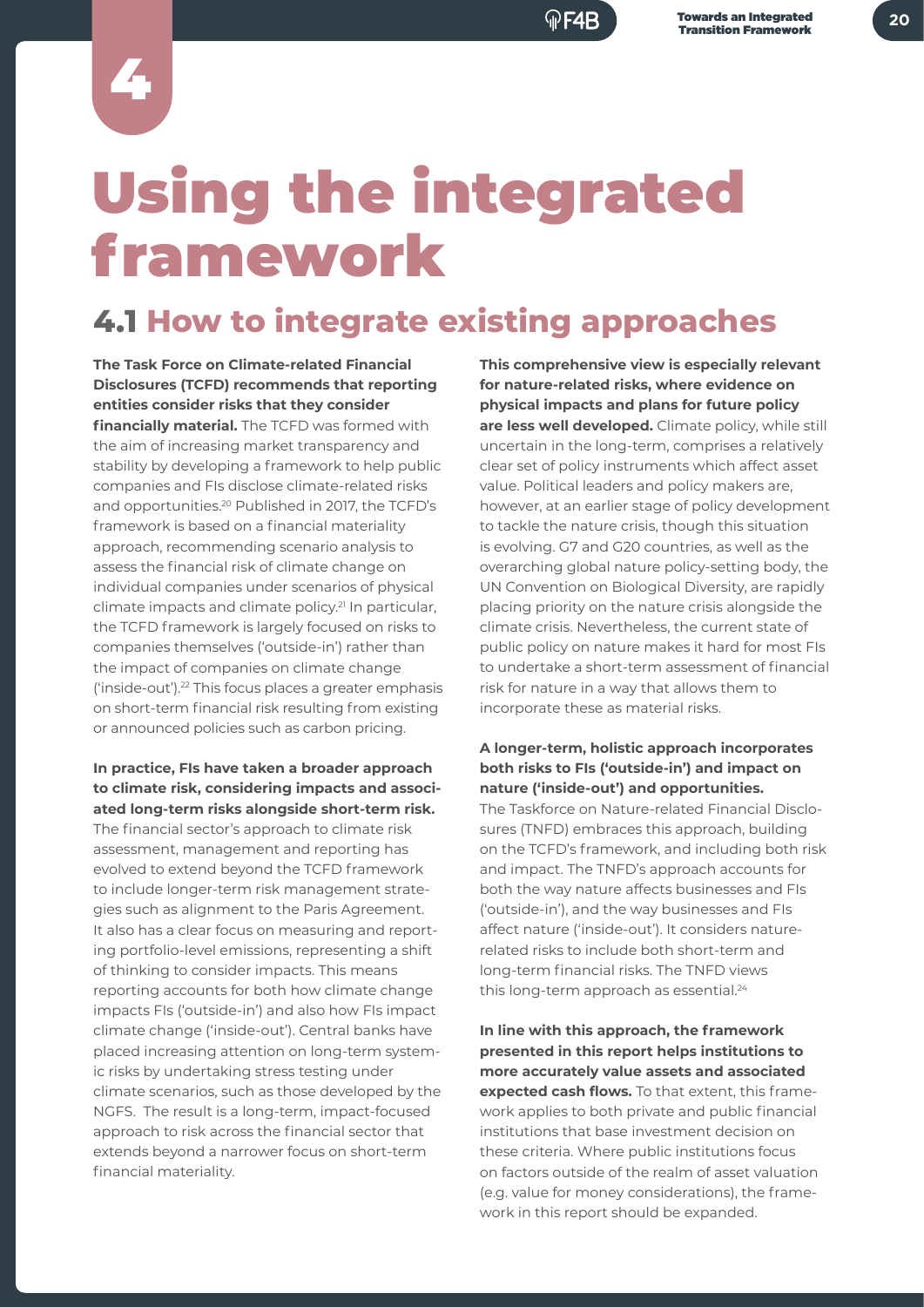4

## Using the integrated framework

## **4.1 How to integrate existing approaches**

**The Task Force on Climate-related Financial Disclosures (TCFD) recommends that reporting entities consider risks that they consider financially material.** The TCFD was formed with the aim of increasing market transparency and stability by developing a framework to help public companies and FIs disclose climate-related risks and opportunities.20 Published in 2017, the TCFD's framework is based on a financial materiality approach, recommending scenario analysis to assess the financial risk of climate change on individual companies under scenarios of physical climate impacts and climate policy.21 In particular, the TCFD framework is largely focused on risks to companies themselves ('outside-in') rather than the impact of companies on climate change ('inside-out').22 This focus places a greater emphasis on short-term financial risk resulting from existing or announced policies such as carbon pricing.

#### **In practice, FIs have taken a broader approach to climate risk, considering impacts and associated long-term risks alongside short-term risk.**

The financial sector's approach to climate risk assessment, management and reporting has evolved to extend beyond the TCFD framework to include longer-term risk management strategies such as alignment to the Paris Agreement. It also has a clear focus on measuring and reporting portfolio-level emissions, representing a shift of thinking to consider impacts. This means reporting accounts for both how climate change impacts FIs ('outside-in') and also how FIs impact climate change ('inside-out'). Central banks have placed increasing attention on long-term systemic risks by undertaking stress testing under climate scenarios, such as those developed by the NGFS. The result is a long-term, impact-focused approach to risk across the financial sector that extends beyond a narrower focus on short-term financial materiality.

**This comprehensive view is especially relevant for nature-related risks, where evidence on physical impacts and plans for future policy are less well developed.** Climate policy, while still uncertain in the long-term, comprises a relatively clear set of policy instruments which affect asset value. Political leaders and policy makers are, however, at an earlier stage of policy development to tackle the nature crisis, though this situation is evolving. G7 and G20 countries, as well as the overarching global nature policy-setting body, the UN Convention on Biological Diversity, are rapidly placing priority on the nature crisis alongside the climate crisis. Nevertheless, the current state of public policy on nature makes it hard for most FIs to undertake a short-term assessment of financial risk for nature in a way that allows them to incorporate these as material risks.

#### **A longer-term, holistic approach incorporates both risks to FIs ('outside-in') and impact on nature ('inside-out') and opportunities.**

The Taskforce on Nature-related Financial Disclosures (TNFD) embraces this approach, building on the TCFD's framework, and including both risk and impact. The TNFD's approach accounts for both the way nature affects businesses and FIs ('outside-in'), and the way businesses and FIs affect nature ('inside-out'). It considers naturerelated risks to include both short-term and long-term financial risks. The TNFD views this long-term approach as essential.<sup>24</sup>

**In line with this approach, the framework presented in this report helps institutions to more accurately value assets and associated expected cash flows.** To that extent, this framework applies to both private and public financial institutions that base investment decision on these criteria. Where public institutions focus on factors outside of the realm of asset valuation (e.g. value for money considerations), the framework in this report should be expanded.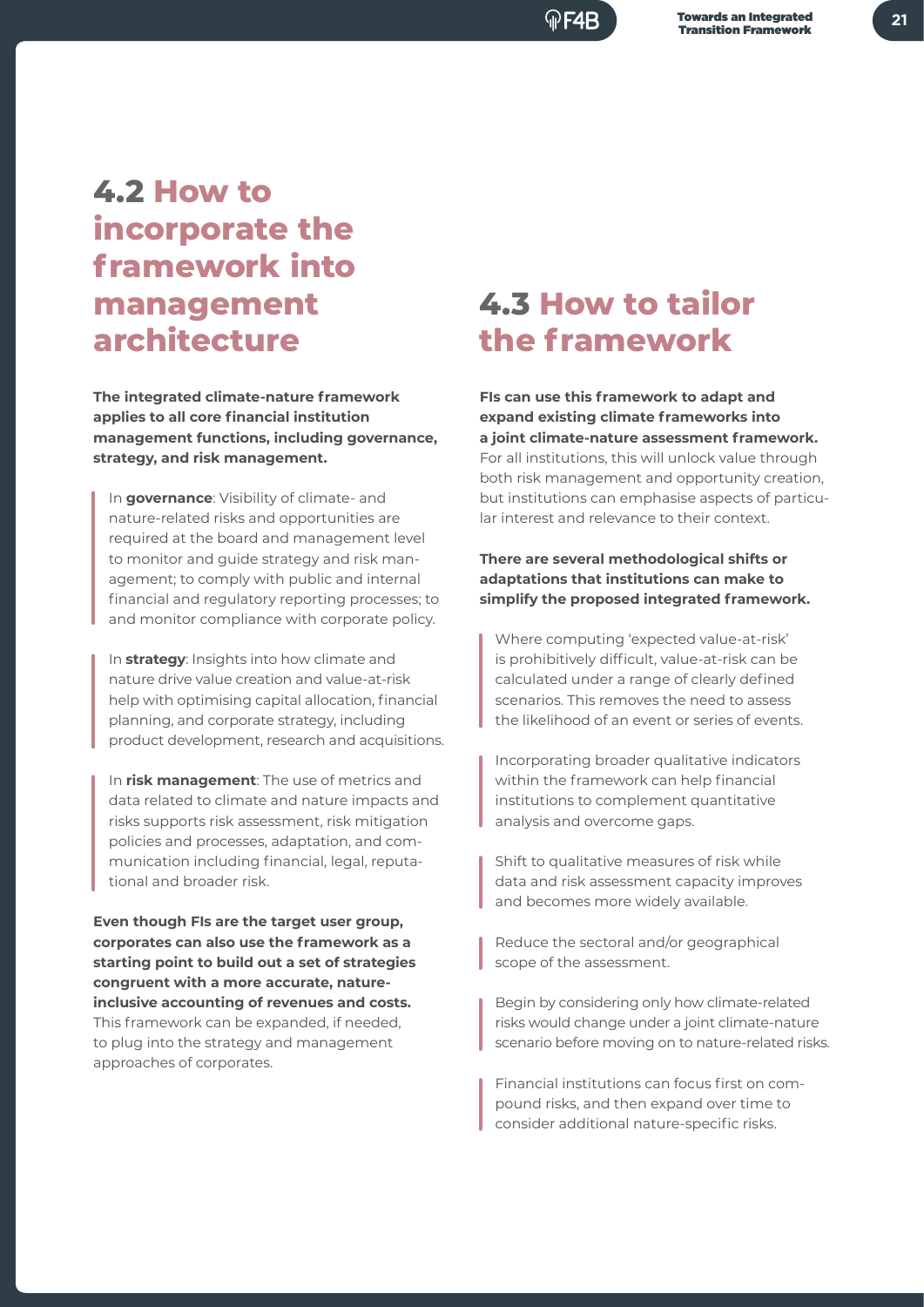### (⊕F4R

## **4.2 How to incorporate the framework into management architecture**

**The integrated climate-nature framework applies to all core financial institution management functions, including governance, strategy, and risk management.**

In **governance**: Visibility of climate- and nature-related risks and opportunities are required at the board and management level to monitor and guide strategy and risk management; to comply with public and internal financial and regulatory reporting processes; to and monitor compliance with corporate policy.

In **strategy**: Insights into how climate and nature drive value creation and value-at-risk help with optimising capital allocation, financial planning, and corporate strategy, including product development, research and acquisitions.

In **risk management**: The use of metrics and data related to climate and nature impacts and risks supports risk assessment, risk mitigation policies and processes, adaptation, and communication including financial, legal, reputational and broader risk.

**Even though FIs are the target user group, corporates can also use the framework as a starting point to build out a set of strategies congruent with a more accurate, natureinclusive accounting of revenues and costs.** This framework can be expanded, if needed, to plug into the strategy and management approaches of corporates.

## **4.3 How to tailor the framework**

**FIs can use this framework to adapt and expand existing climate frameworks into a joint climate-nature assessment framework.** For all institutions, this will unlock value through both risk management and opportunity creation, but institutions can emphasise aspects of particular interest and relevance to their context.

#### **There are several methodological shifts or adaptations that institutions can make to simplify the proposed integrated framework.**

Where computing 'expected value-at-risk' is prohibitively difficult, value-at-risk can be calculated under a range of clearly defined scenarios. This removes the need to assess the likelihood of an event or series of events.

Incorporating broader qualitative indicators within the framework can help financial institutions to complement quantitative analysis and overcome gaps.

Shift to qualitative measures of risk while data and risk assessment capacity improves and becomes more widely available.

Reduce the sectoral and/or geographical scope of the assessment.

Begin by considering only how climate-related risks would change under a joint climate-nature scenario before moving on to nature-related risks.

Financial institutions can focus first on compound risks, and then expand over time to consider additional nature-specific risks.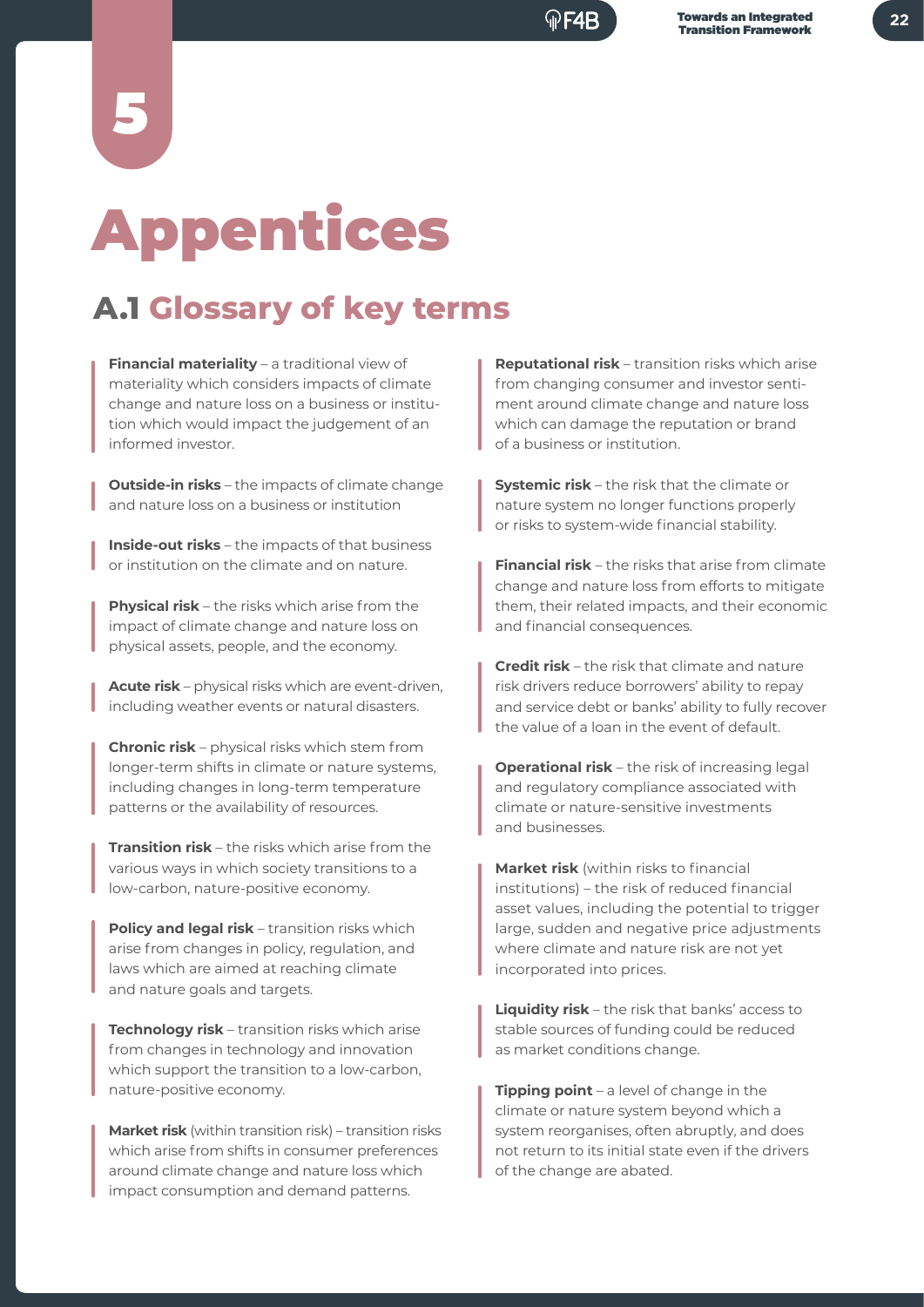# Appentices

5

## **A.1 Glossary of key terms**

**Financial materiality** – a traditional view of materiality which considers impacts of climate change and nature loss on a business or institution which would impact the judgement of an informed investor.

**Outside-in risks** – the impacts of climate change and nature loss on a business or institution

**Inside-out risks** – the impacts of that business or institution on the climate and on nature.

**Physical risk** – the risks which arise from the impact of climate change and nature loss on physical assets, people, and the economy.

**Acute risk** – physical risks which are event-driven, including weather events or natural disasters.

**Chronic risk** – physical risks which stem from longer-term shifts in climate or nature systems, including changes in long-term temperature patterns or the availability of resources.

**Transition risk** – the risks which arise from the various ways in which society transitions to a low-carbon, nature-positive economy.

**Policy and legal risk** – transition risks which arise from changes in policy, regulation, and laws which are aimed at reaching climate and nature goals and targets.

**Technology risk** – transition risks which arise from changes in technology and innovation which support the transition to a low-carbon, nature-positive economy.

**Market risk** (within transition risk) – transition risks which arise from shifts in consumer preferences around climate change and nature loss which impact consumption and demand patterns.

**Reputational risk** – transition risks which arise from changing consumer and investor sentiment around climate change and nature loss which can damage the reputation or brand of a business or institution.

**Systemic risk** – the risk that the climate or nature system no longer functions properly or risks to system-wide financial stability.

**Financial risk** – the risks that arise from climate change and nature loss from efforts to mitigate them, their related impacts, and their economic and financial consequences.

**Credit risk** – the risk that climate and nature risk drivers reduce borrowers' ability to repay and service debt or banks' ability to fully recover the value of a loan in the event of default.

**Operational risk** – the risk of increasing legal and regulatory compliance associated with climate or nature-sensitive investments and businesses.

**Market risk** (within risks to financial institutions) – the risk of reduced financial asset values, including the potential to trigger large, sudden and negative price adjustments where climate and nature risk are not yet incorporated into prices.

**Liquidity risk** – the risk that banks' access to stable sources of funding could be reduced as market conditions change.

**Tipping point** – a level of change in the climate or nature system beyond which a system reorganises, often abruptly, and does not return to its initial state even if the drivers of the change are abated.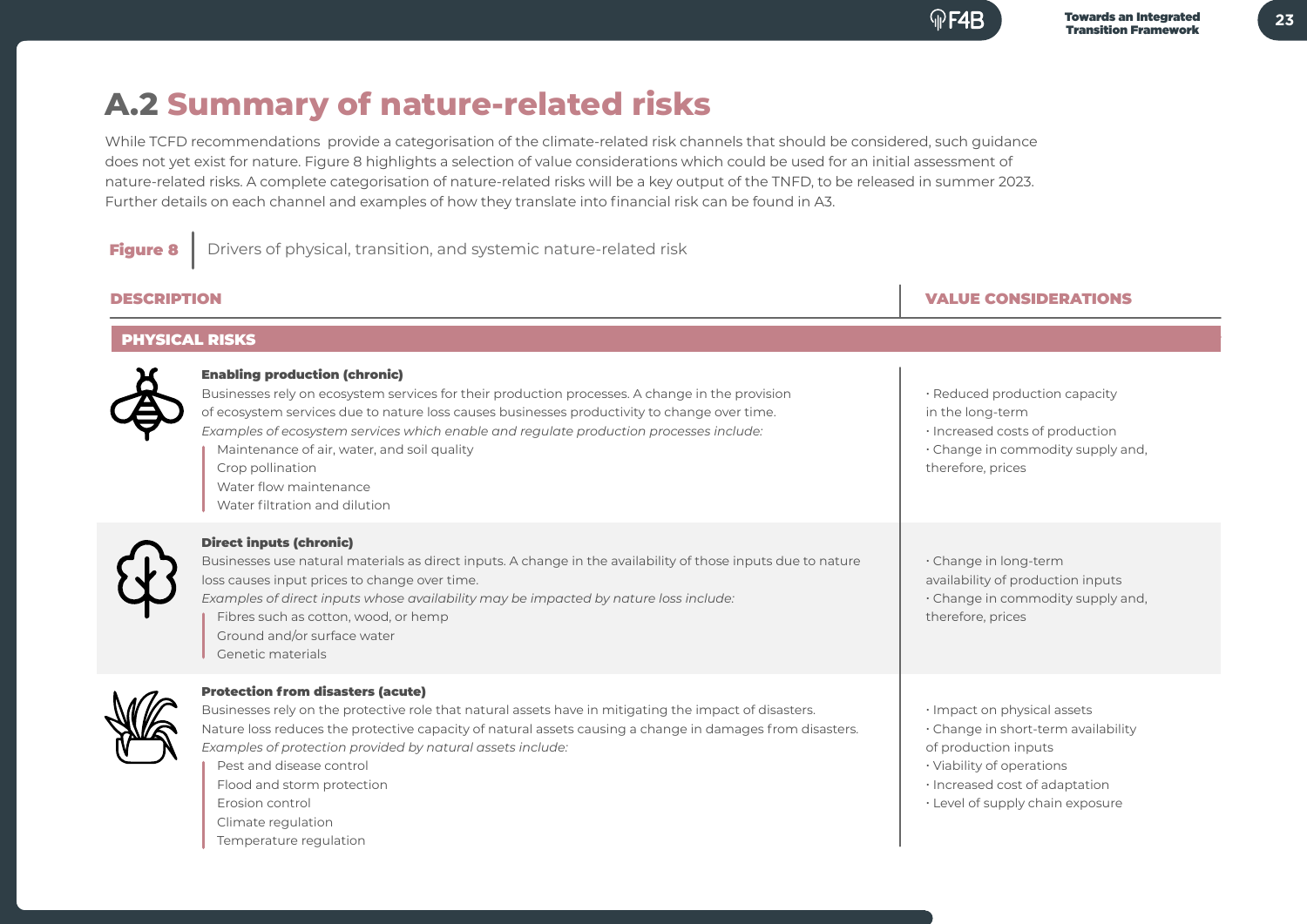**23**

## **A.2 Summary of nature-related risks**

While TCFD recommendations provide a categorisation of the climate-related risk channels that should be considered, such guidance does not yet exist for nature. Figure 8 highlights a selection of value considerations which could be used for an initial assessment of nature-related risks. A complete categorisation of nature-related risks will be a key output of the TNFD, to be released in summer 2023. Further details on each channel and examples of how they translate into financial risk can be found in A3.

**Figure 8** Drivers of physical, transition, and systemic nature-related risk

| <b>DESCRIPTION</b>    |                                                                                                                                                                                                                                                                                                                                                                                                                                                                 | <b>VALUE CONSIDERATIONS</b>                                                                                                                                                                   |  |  |  |
|-----------------------|-----------------------------------------------------------------------------------------------------------------------------------------------------------------------------------------------------------------------------------------------------------------------------------------------------------------------------------------------------------------------------------------------------------------------------------------------------------------|-----------------------------------------------------------------------------------------------------------------------------------------------------------------------------------------------|--|--|--|
| <b>PHYSICAL RISKS</b> |                                                                                                                                                                                                                                                                                                                                                                                                                                                                 |                                                                                                                                                                                               |  |  |  |
|                       | <b>Enabling production (chronic)</b><br>Businesses rely on ecosystem services for their production processes. A change in the provision<br>of ecosystem services due to nature loss causes businesses productivity to change over time.<br>Examples of ecosystem services which enable and regulate production processes include:<br>Maintenance of air, water, and soil quality<br>Crop pollination<br>Water flow maintenance<br>Water filtration and dilution | · Reduced production capacity<br>in the long-term<br>· Increased costs of production<br>· Change in commodity supply and,<br>therefore, prices                                                |  |  |  |
|                       | <b>Direct inputs (chronic)</b><br>Businesses use natural materials as direct inputs. A change in the availability of those inputs due to nature<br>loss causes input prices to change over time.<br>Examples of direct inputs whose availability may be impacted by nature loss include:<br>Fibres such as cotton, wood, or hemp<br>Ground and/or surface water<br>Genetic materials                                                                            | · Change in long-term<br>availability of production inputs<br>· Change in commodity supply and,<br>therefore, prices                                                                          |  |  |  |
|                       | <b>Protection from disasters (acute)</b><br>Businesses rely on the protective role that natural assets have in mitigating the impact of disasters.<br>Nature loss reduces the protective capacity of natural assets causing a change in damages from disasters.<br>Examples of protection provided by natural assets include:<br>Pest and disease control<br>Flood and storm protection<br>Erosion control<br>Climate regulation                                | · Impact on physical assets<br>· Change in short-term availability<br>of production inputs<br>· Viability of operations<br>· Increased cost of adaptation<br>· Level of supply chain exposure |  |  |  |

#### Temperature regulation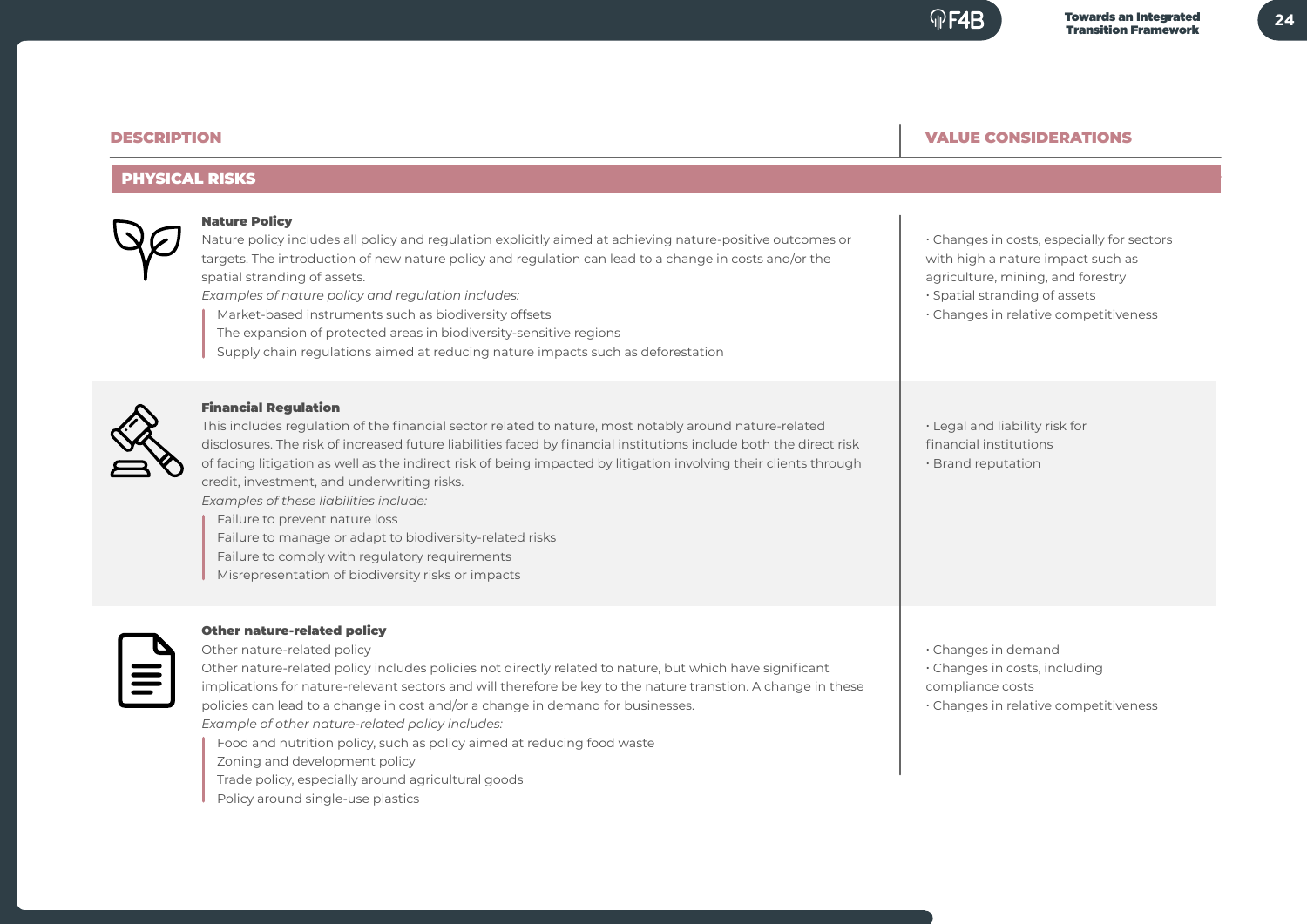#### DESCRIPTION

#### VALUE CONSIDERATIONS

#### PHYSICAL RISKS



#### Nature Policy

Nature policy includes all policy and regulation explicitly aimed at achieving nature-positive outcomes or targets. The introduction of new nature policy and regulation can lead to a change in costs and/or the spatial stranding of assets.

*Examples of nature policy and regulation includes:*

Market-based instruments such as biodiversity offsets

- The expansion of protected areas in biodiversity-sensitive regions
- Supply chain regulations aimed at reducing nature impacts such as deforestation

#### Financial Regulation

This includes regulation of the financial sector related to nature, most notably around nature-related disclosures. The risk of increased future liabilities faced by financial institutions include both the direct risk of facing litigation as well as the indirect risk of being impacted by litigation involving their clients through credit, investment, and underwriting risks.

*Examples of these liabilities include:*

Failure to prevent nature loss

Failure to manage or adapt to biodiversity-related risks

Failure to comply with regulatory requirements

Misrepresentation of biodiversity risks or impacts



#### Other nature-related policy

Other nature-related policy Other nature-related policy includes policies not directly related to nature, but which have significant implications for nature-relevant sectors and will therefore be key to the nature transtion. A change in these policies can lead to a change in cost and/or a change in demand for businesses. *Example of other nature-related policy includes:*

- Food and nutrition policy, such as policy aimed at reducing food waste
- Zoning and development policy
- Trade policy, especially around agricultural goods
- Policy around single-use plastics

with high a nature impact such as agriculture, mining, and forestry � Spatial stranding of assets

� Changes in costs, especially for sectors

� Changes in relative competitiveness

� Legal and liability risk for financial institutions **Brand reputation** 

� Changes in demand

� Changes in costs, including

compliance costs

� Changes in relative competitiveness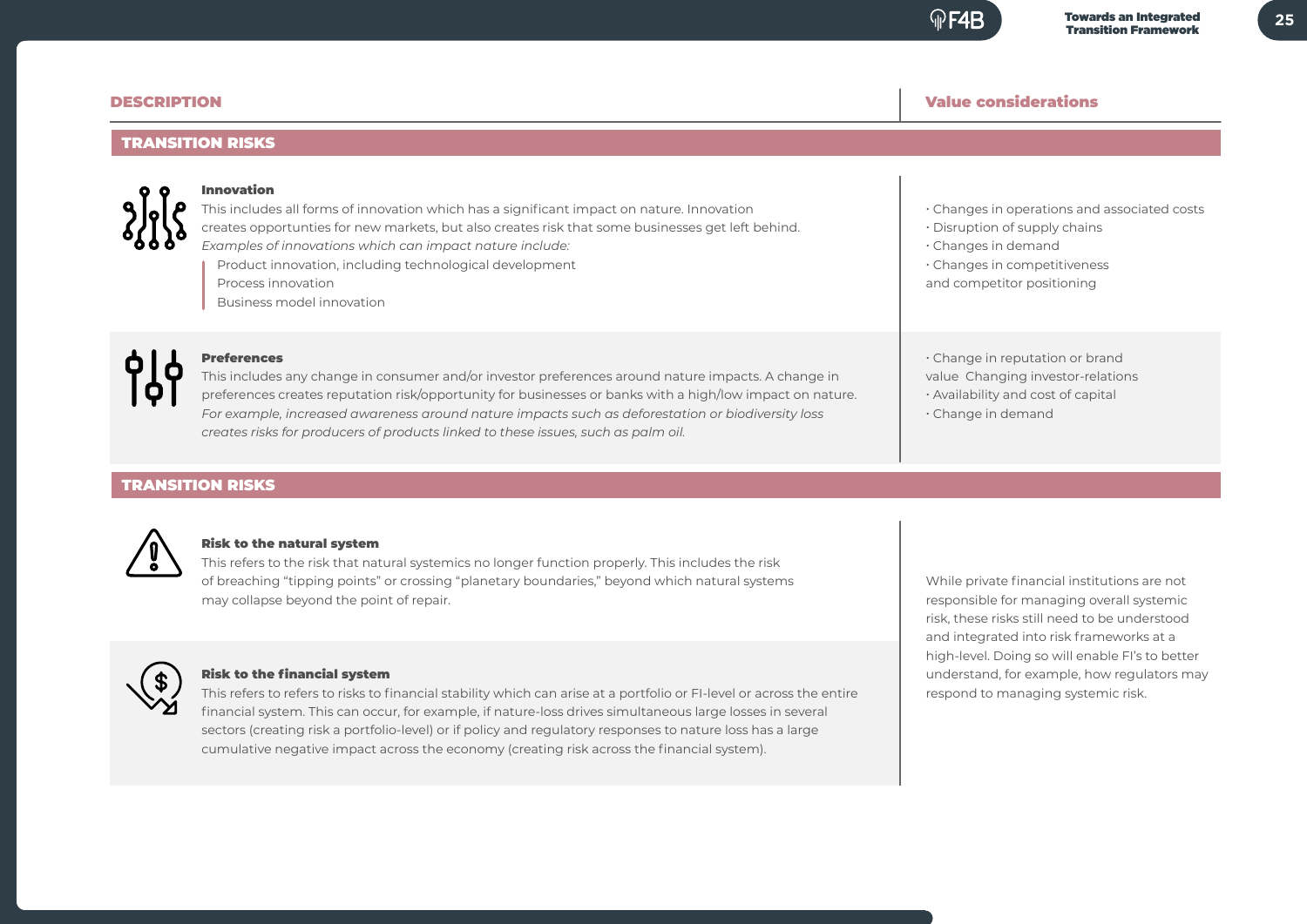#### Value considerations

� Disruption of supply chains � Changes in demand

� Changes in competitiveness and competitor positioning

#### DESCRIPTION

#### TRANSITION RISKS



#### Innovation

This includes all forms of innovation which has a significant impact on nature. Innovation creates opportunties for new markets, but also creates risk that some businesses get left behind. *Examples of innovations which can impact nature include:* Product innovation, including technological development Process innovation Business model innovation

#### Preferences

This includes any change in consumer and/or investor preferences around nature impacts. A change in preferences creates reputation risk/opportunity for businesses or banks with a high/low impact on nature. *For example, increased awareness around nature impacts such as deforestation or biodiversity loss creates risks for producers of products linked to these issues, such as palm oil.*

TRANSITION RISKS



#### Risk to the natural system

This refers to the risk that natural systemics no longer function properly. This includes the risk of breaching "tipping points" or crossing "planetary boundaries," beyond which natural systems may collapse beyond the point of repair.



#### Risk to the financial system

This refers to refers to risks to financial stability which can arise at a portfolio or FI-level or across the entire financial system. This can occur, for example, if nature-loss drives simultaneous large losses in several sectors (creating risk a portfolio-level) or if policy and regulatory responses to nature loss has a large cumulative negative impact across the economy (creating risk across the financial system).

While private financial institutions are not responsible for managing overall systemic risk, these risks still need to be understood and integrated into risk frameworks at a high-level. Doing so will enable FI's to better understand, for example, how regulators may respond to managing systemic risk.

� Change in reputation or brand value Changing investor-relations � Availability and cost of capital � Change in demand

� Changes in operations and associated costs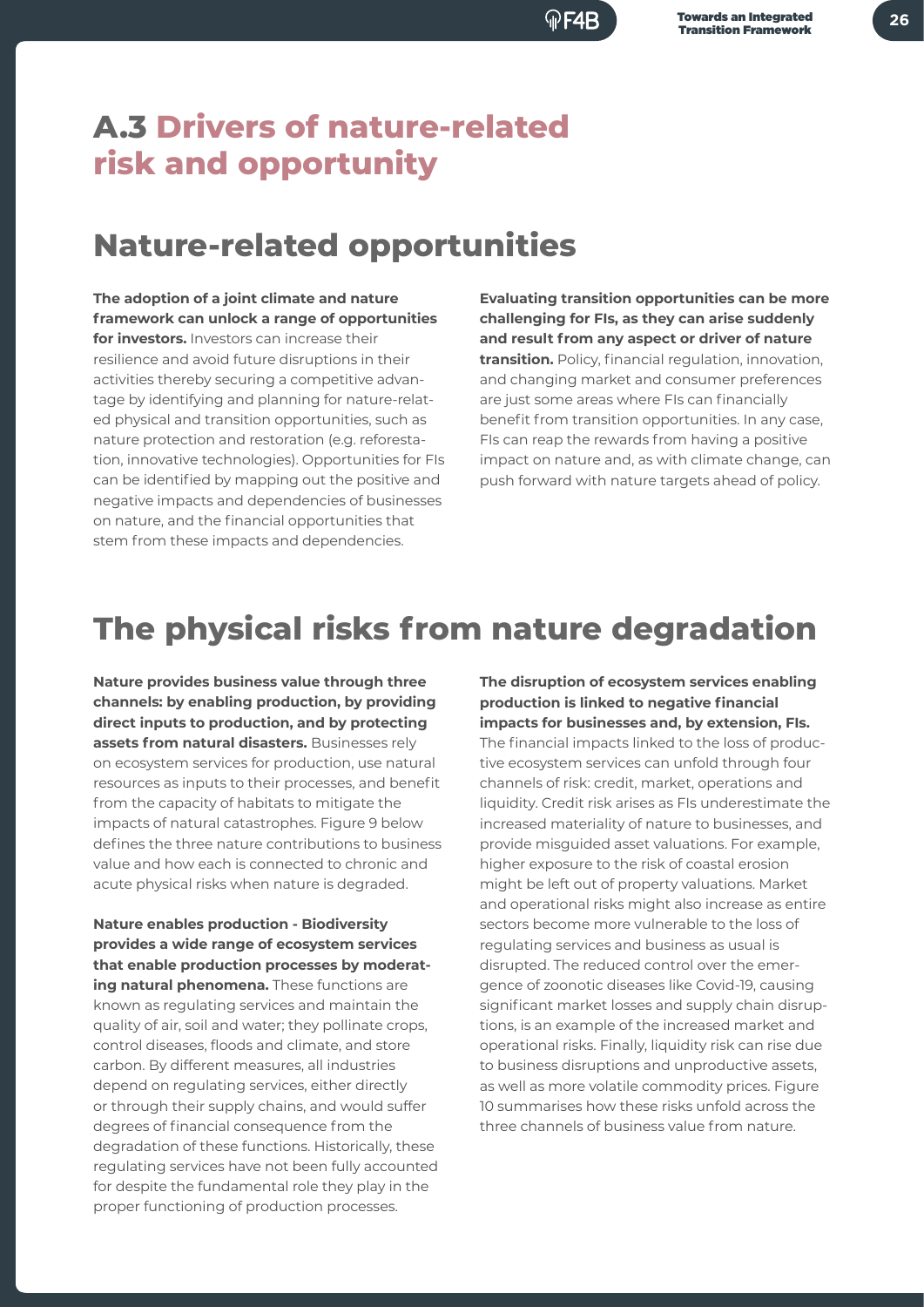## **A.3 Drivers of nature-related risk and opportunity**

## **Nature-related opportunities**

**The adoption of a joint climate and nature framework can unlock a range of opportunities for investors.** Investors can increase their resilience and avoid future disruptions in their activities thereby securing a competitive advantage by identifying and planning for nature-related physical and transition opportunities, such as nature protection and restoration (e.g. reforestation, innovative technologies). Opportunities for FIs can be identified by mapping out the positive and negative impacts and dependencies of businesses on nature, and the financial opportunities that stem from these impacts and dependencies.

**Evaluating transition opportunities can be more challenging for FIs, as they can arise suddenly and result from any aspect or driver of nature transition.** Policy, financial regulation, innovation, and changing market and consumer preferences are just some areas where FIs can financially benefit from transition opportunities. In any case, FIs can reap the rewards from having a positive impact on nature and, as with climate change, can push forward with nature targets ahead of policy.

## **The physical risks from nature degradation**

**Nature provides business value through three channels: by enabling production, by providing direct inputs to production, and by protecting assets from natural disasters.** Businesses rely on ecosystem services for production, use natural resources as inputs to their processes, and benefit from the capacity of habitats to mitigate the impacts of natural catastrophes. Figure 9 below defines the three nature contributions to business value and how each is connected to chronic and acute physical risks when nature is degraded.

**Nature enables production - Biodiversity provides a wide range of ecosystem services that enable production processes by moderating natural phenomena.** These functions are known as regulating services and maintain the quality of air, soil and water; they pollinate crops, control diseases, floods and climate, and store carbon. By different measures, all industries depend on regulating services, either directly or through their supply chains, and would suffer degrees of financial consequence from the degradation of these functions. Historically, these regulating services have not been fully accounted for despite the fundamental role they play in the proper functioning of production processes.

**production is linked to negative financial impacts for businesses and, by extension, FIs.**  The financial impacts linked to the loss of productive ecosystem services can unfold through four channels of risk: credit, market, operations and liquidity. Credit risk arises as FIs underestimate the increased materiality of nature to businesses, and provide misguided asset valuations. For example, higher exposure to the risk of coastal erosion might be left out of property valuations. Market and operational risks might also increase as entire sectors become more vulnerable to the loss of regulating services and business as usual is disrupted. The reduced control over the emergence of zoonotic diseases like Covid-19, causing significant market losses and supply chain disruptions, is an example of the increased market and operational risks. Finally, liquidity risk can rise due to business disruptions and unproductive assets, as well as more volatile commodity prices. Figure 10 summarises how these risks unfold across the three channels of business value from nature.

**The disruption of ecosystem services enabling**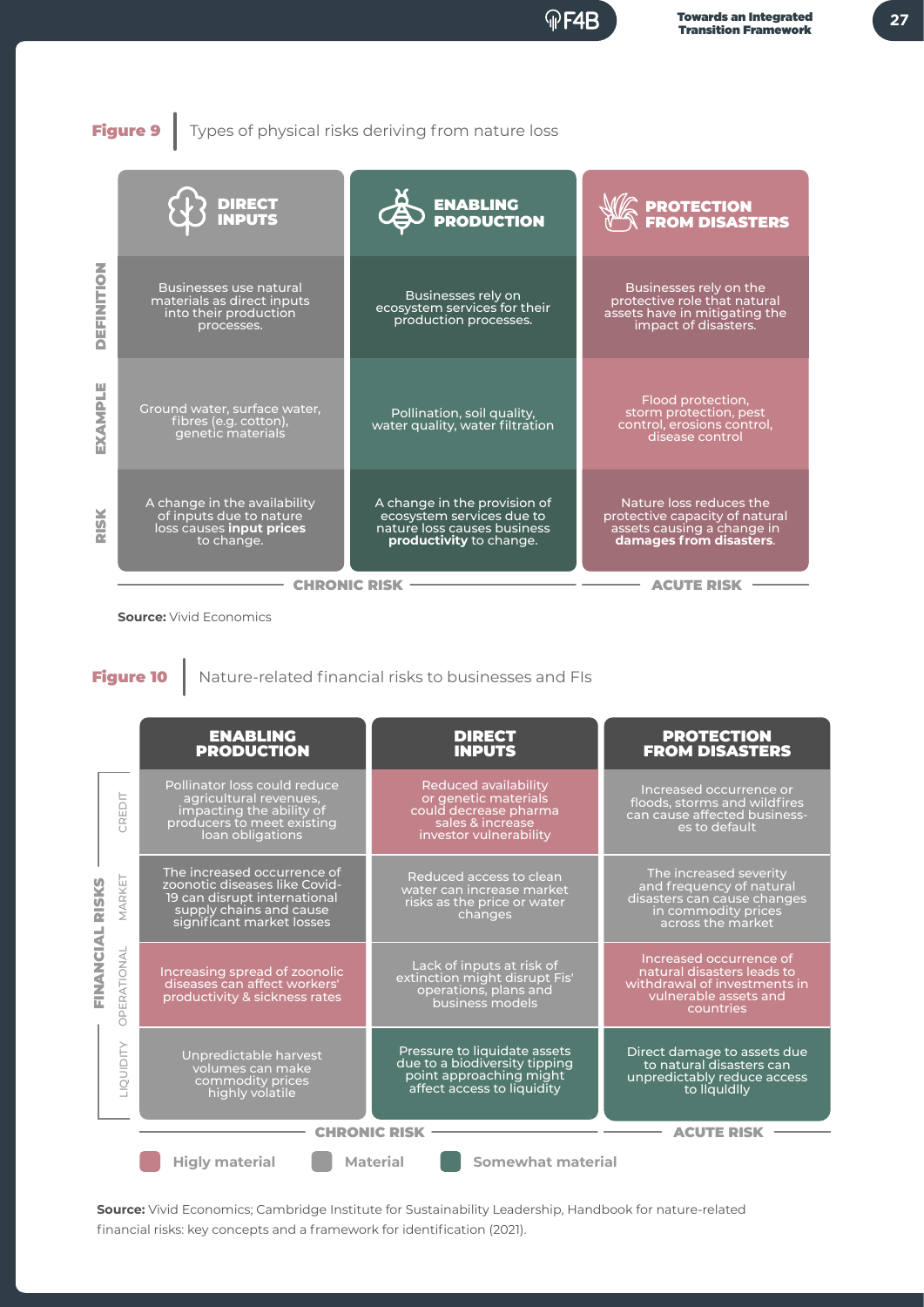

Figure 9 Types of physical risks deriving from nature loss

|                            | <b>DIRECT<br/>INPUTS</b>                                                                           | ENABLING<br>PRODUCTION                                                                                              | <b>PROTECTION<br/>FROM DISASTERS</b>                                                                               |
|----------------------------|----------------------------------------------------------------------------------------------------|---------------------------------------------------------------------------------------------------------------------|--------------------------------------------------------------------------------------------------------------------|
| $\overline{6}$<br>Ě<br>乙正山 | <b>Businesses use natural</b><br>materials as direct inputs<br>into their production<br>processes. | Businesses rely on<br>ecosystem services for their<br>production processes.                                         | Businesses rely on the<br>protective role that natural<br>assets have in mitigating the<br>impact of disasters.    |
| EXAMPLE                    | Ground water, surface water,<br>fibres (e.g. cotton),<br>genetic materials                         | Pollination, soil quality,<br>water quality, water filtration                                                       | Flood protection,<br>storm protection, pest<br>control, erosions control,<br>disease control                       |
| <b>RISK</b>                | A change in the availability<br>of inputs due to nature<br>loss causes input prices<br>to change.  | A change in the provision of<br>ecosystem services due to<br>nature loss causes business<br>productivity to change. | Nature loss reduces the<br>protective capacity of natural<br>assets causing a change in<br>damages from disasters. |
|                            | <b>CHRONI</b>                                                                                      |                                                                                                                     |                                                                                                                    |

**Source:** Vivid Economics

Figure 10 | Nature-related financial risks to businesses and FIs

|                                                               | <b>ENABLING</b><br><b>PRODUCTION</b>                                                                                                                 | <b>DIRECT</b><br><b>INPUTS</b>                                                                                             | <b>PROTECTION</b><br><b>FROM DISASTERS</b>                                                                                    |  |  |  |
|---------------------------------------------------------------|------------------------------------------------------------------------------------------------------------------------------------------------------|----------------------------------------------------------------------------------------------------------------------------|-------------------------------------------------------------------------------------------------------------------------------|--|--|--|
| CREDIT                                                        | Pollinator loss could reduce<br>agricultural revenues,<br>impacting the ability of<br>producers to meet existing<br>loan obligations                 | <b>Reduced availability</b><br>or genetic materials<br>could decrease pharma<br>sales & increase<br>investor vulnerability | Increased occurrence or<br>floods, storms and wildfires<br>can cause affected business-<br>es to default                      |  |  |  |
| MARKET<br><b>RISKS</b>                                        | The increased occurrence of<br>zoonotic diseases like Covid-<br>19 can disrupt international<br>supply chains and cause<br>significant market losses | Reduced access to clean<br>water can increase market<br>risks as the price or water<br>changes                             | The increased severity<br>and frequency of natural<br>disasters can cause changes<br>in commodity prices<br>across the market |  |  |  |
| FINANCIAL<br>PERATIONAL<br>$\bigcap$                          | Increasing spread of zoonolic<br>diseases can affect workers'<br>productivity & sickness rates                                                       | Lack of inputs at risk of<br>extinction might disrupt Fis'<br>operations, plans and<br>business models                     | Increased occurrence of<br>natural disasters leads to<br>withdrawal of investments in<br>vulnerable assets and<br>countries   |  |  |  |
| QUIDITY                                                       | Unpredictable harvest<br>volumes can make<br>commodity prices<br>highly volatile                                                                     | Pressure to liquidate assets<br>due to a biodiversity tipping<br>point approaching might<br>affect access to liquidity     | Direct damage to assets due<br>to natural disasters can<br>unpredictably reduce access<br>to liquidlly                        |  |  |  |
|                                                               | <b>CHRONIC RISK</b><br><b>ACUTE RISK</b>                                                                                                             |                                                                                                                            |                                                                                                                               |  |  |  |
| <b>Somewhat material</b><br><b>Material</b><br>Higly material |                                                                                                                                                      |                                                                                                                            |                                                                                                                               |  |  |  |

**Source:** Vivid Economics; Cambridge Institute for Sustainability Leadership, Handbook for nature-related financial risks: key concepts and a framework for identification (2021).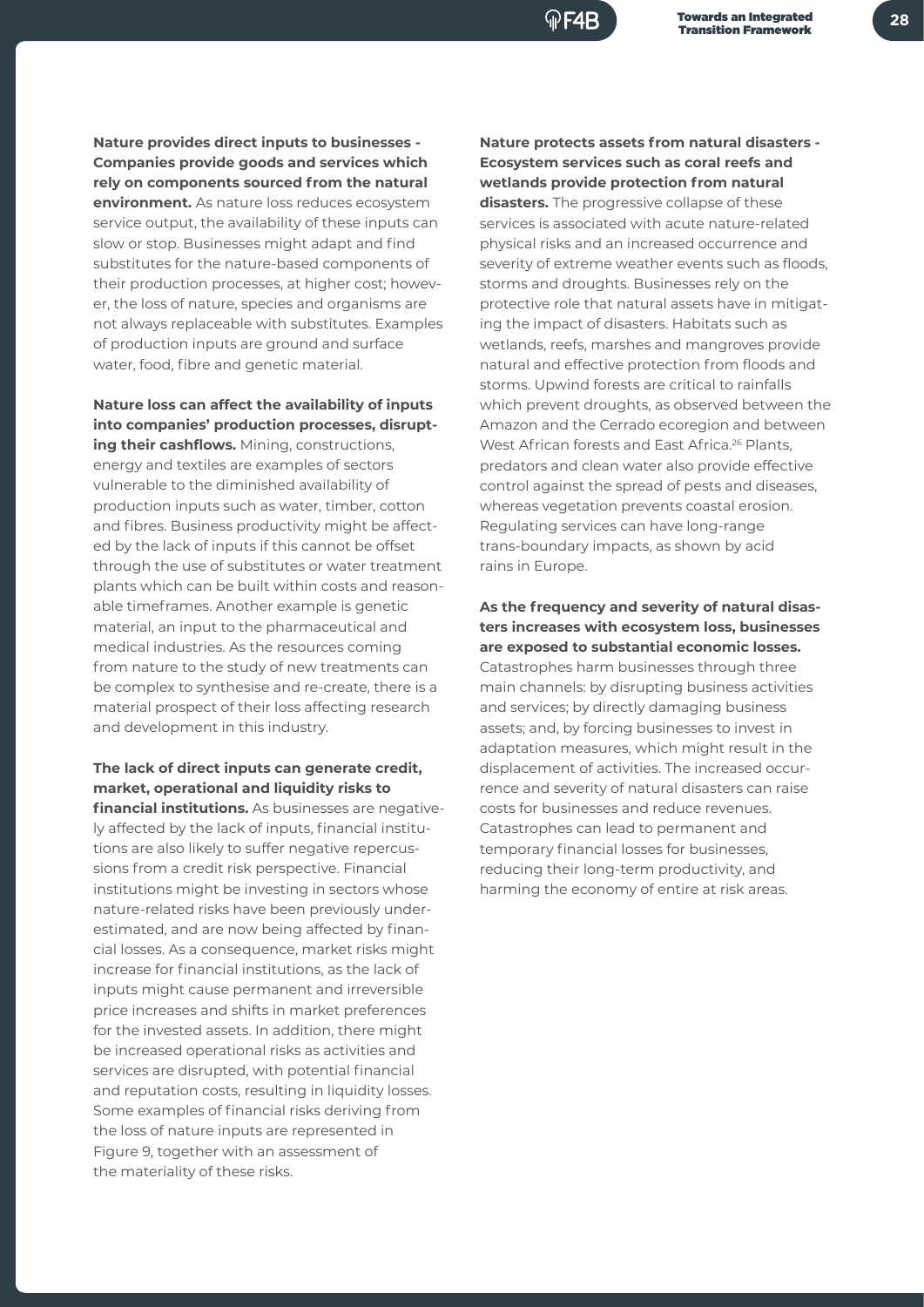**Nature provides direct inputs to businesses - Companies provide goods and services which rely on components sourced from the natural environment.** As nature loss reduces ecosystem service output, the availability of these inputs can slow or stop. Businesses might adapt and find substitutes for the nature-based components of their production processes, at higher cost; however, the loss of nature, species and organisms are not always replaceable with substitutes. Examples of production inputs are ground and surface water, food, fibre and genetic material.

#### **Nature loss can affect the availability of inputs into companies' production processes, disrupt-**

**ing their cashflows.** Mining, constructions, energy and textiles are examples of sectors vulnerable to the diminished availability of production inputs such as water, timber, cotton and fibres. Business productivity might be affected by the lack of inputs if this cannot be offset through the use of substitutes or water treatment plants which can be built within costs and reasonable timeframes. Another example is genetic material, an input to the pharmaceutical and medical industries. As the resources coming from nature to the study of new treatments can be complex to synthesise and re-create, there is a material prospect of their loss affecting research and development in this industry.

### **The lack of direct inputs can generate credit, market, operational and liquidity risks to**

**financial institutions.** As businesses are negatively affected by the lack of inputs, financial institutions are also likely to suffer negative repercussions from a credit risk perspective. Financial institutions might be investing in sectors whose nature-related risks have been previously underestimated, and are now being affected by financial losses. As a consequence, market risks might increase for financial institutions, as the lack of inputs might cause permanent and irreversible price increases and shifts in market preferences for the invested assets. In addition, there might be increased operational risks as activities and services are disrupted, with potential financial and reputation costs, resulting in liquidity losses. Some examples of financial risks deriving from the loss of nature inputs are represented in Figure 9, together with an assessment of the materiality of these risks.

**Nature protects assets from natural disasters - Ecosystem services such as coral reefs and wetlands provide protection from natural disasters.** The progressive collapse of these services is associated with acute nature-related physical risks and an increased occurrence and severity of extreme weather events such as floods, storms and droughts. Businesses rely on the protective role that natural assets have in mitigating the impact of disasters. Habitats such as wetlands, reefs, marshes and mangroves provide natural and effective protection from floods and storms. Upwind forests are critical to rainfalls which prevent droughts, as observed between the Amazon and the Cerrado ecoregion and between West African forests and East Africa.<sup>26</sup> Plants, predators and clean water also provide effective control against the spread of pests and diseases, whereas vegetation prevents coastal erosion. Regulating services can have long-range trans-boundary impacts, as shown by acid rains in Europe.

#### **As the frequency and severity of natural disasters increases with ecosystem loss, businesses are exposed to substantial economic losses.**  Catastrophes harm businesses through three main channels: by disrupting business activities and services; by directly damaging business assets; and, by forcing businesses to invest in adaptation measures, which might result in the displacement of activities. The increased occurrence and severity of natural disasters can raise costs for businesses and reduce revenues. Catastrophes can lead to permanent and temporary financial losses for businesses, reducing their long-term productivity, and harming the economy of entire at risk areas.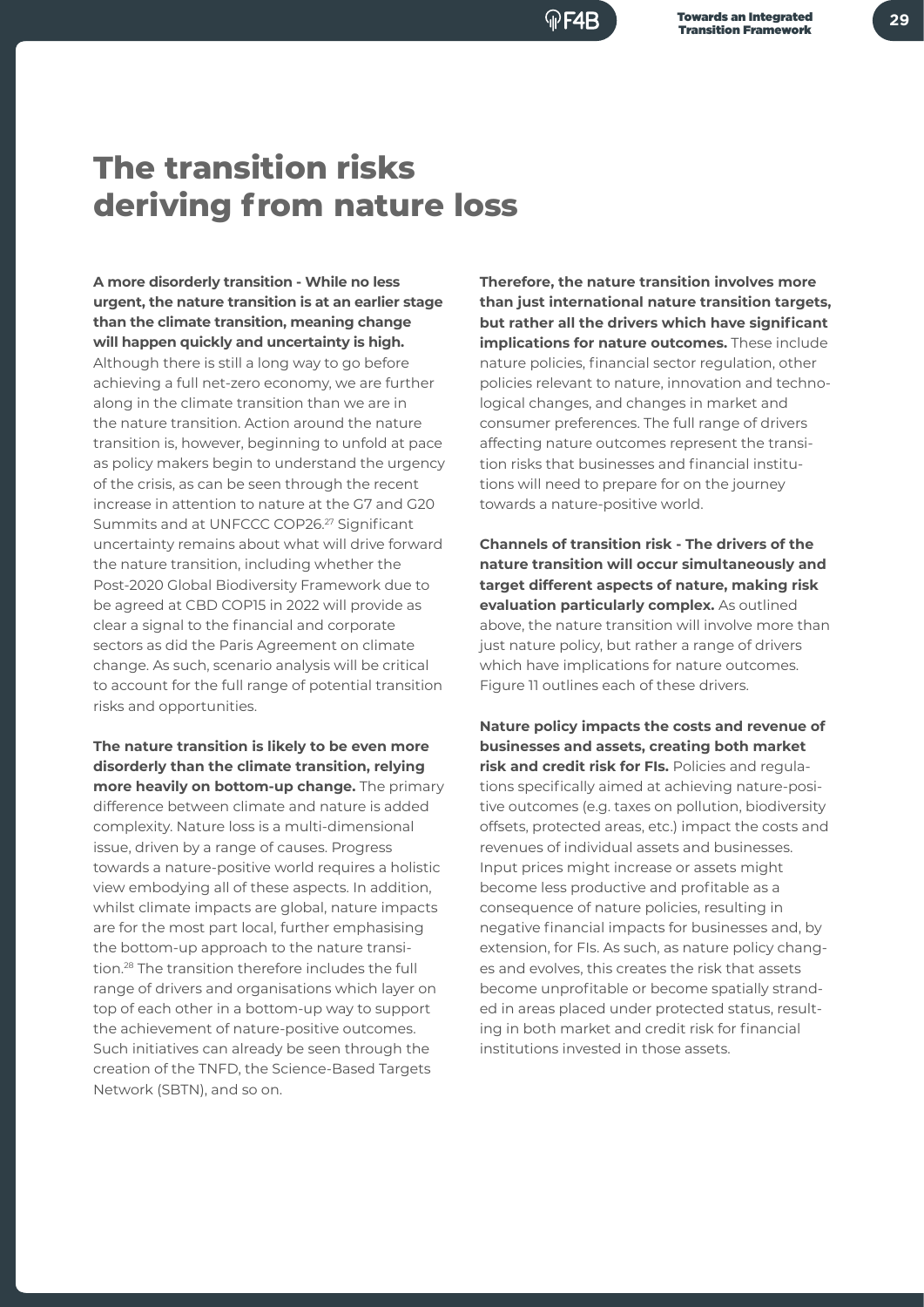## **The transition risks deriving from nature loss**

**A more disorderly transition - While no less urgent, the nature transition is at an earlier stage than the climate transition, meaning change will happen quickly and uncertainty is high.** Although there is still a long way to go before achieving a full net-zero economy, we are further along in the climate transition than we are in the nature transition. Action around the nature transition is, however, beginning to unfold at pace as policy makers begin to understand the urgency of the crisis, as can be seen through the recent increase in attention to nature at the G7 and G20 Summits and at UNFCCC COP26.27 Significant uncertainty remains about what will drive forward the nature transition, including whether the Post-2020 Global Biodiversity Framework due to be agreed at CBD COP15 in 2022 will provide as clear a signal to the financial and corporate sectors as did the Paris Agreement on climate change. As such, scenario analysis will be critical to account for the full range of potential transition risks and opportunities.

**The nature transition is likely to be even more disorderly than the climate transition, relying more heavily on bottom-up change.** The primary difference between climate and nature is added complexity. Nature loss is a multi-dimensional issue, driven by a range of causes. Progress towards a nature-positive world requires a holistic view embodying all of these aspects. In addition, whilst climate impacts are global, nature impacts are for the most part local, further emphasising the bottom-up approach to the nature transition.28 The transition therefore includes the full range of drivers and organisations which layer on top of each other in a bottom-up way to support the achievement of nature-positive outcomes. Such initiatives can already be seen through the creation of the TNFD, the Science-Based Targets Network (SBTN), and so on.

**Therefore, the nature transition involves more than just international nature transition targets, but rather all the drivers which have significant implications for nature outcomes.** These include nature policies, financial sector regulation, other policies relevant to nature, innovation and technological changes, and changes in market and consumer preferences. The full range of drivers affecting nature outcomes represent the transition risks that businesses and financial institutions will need to prepare for on the journey towards a nature-positive world.

**Channels of transition risk - The drivers of the nature transition will occur simultaneously and target different aspects of nature, making risk evaluation particularly complex.** As outlined above, the nature transition will involve more than just nature policy, but rather a range of drivers which have implications for nature outcomes. Figure 11 outlines each of these drivers.

**Nature policy impacts the costs and revenue of businesses and assets, creating both market risk and credit risk for FIs.** Policies and regulations specifically aimed at achieving nature-positive outcomes (e.g. taxes on pollution, biodiversity offsets, protected areas, etc.) impact the costs and revenues of individual assets and businesses. Input prices might increase or assets might become less productive and profitable as a consequence of nature policies, resulting in negative financial impacts for businesses and, by extension, for FIs. As such, as nature policy changes and evolves, this creates the risk that assets become unprofitable or become spatially stranded in areas placed under protected status, resulting in both market and credit risk for financial institutions invested in those assets.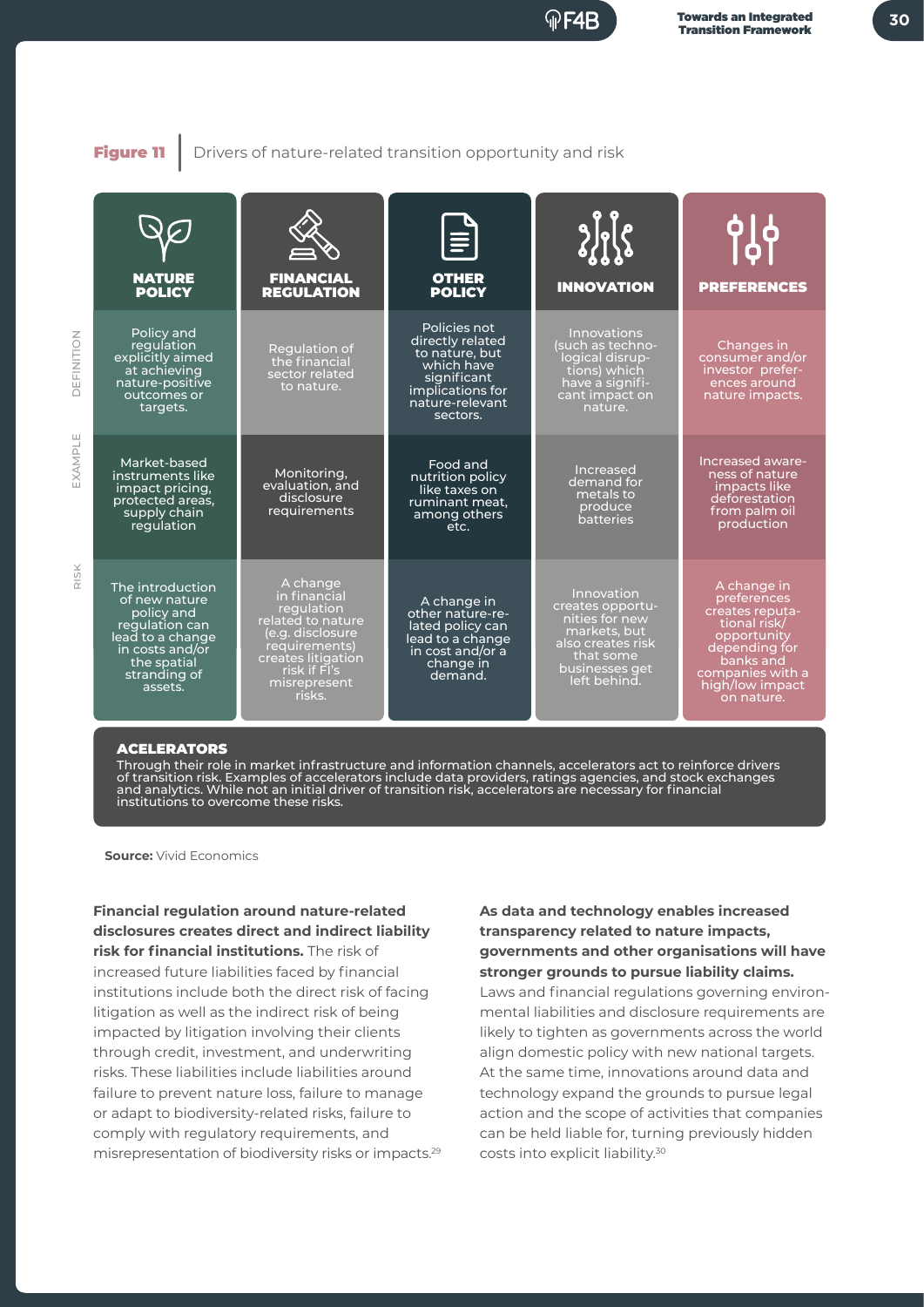**30**

Figure 11 | Drivers of nature-related transition opportunity and risk



#### ACELERATORS

Through their role in market infrastructure and information channels, accelerators act to reinforce drivers of transition risk. Examples of accelerators include data providers, ratings agencies, and stock exchanges and analytics. While not an initial driver of transition risk, accelerators are necessary for financial institutions to overcome these risks.

**Source:** Vivid Economics

**Financial regulation around nature-related disclosures creates direct and indirect liability risk for financial institutions.** The risk of increased future liabilities faced by financial institutions include both the direct risk of facing litigation as well as the indirect risk of being impacted by litigation involving their clients through credit, investment, and underwriting risks. These liabilities include liabilities around failure to prevent nature loss, failure to manage or adapt to biodiversity-related risks, failure to comply with regulatory requirements, and misrepresentation of biodiversity risks or impacts.29

#### **As data and technology enables increased transparency related to nature impacts, governments and other organisations will have stronger grounds to pursue liability claims.**

Laws and financial regulations governing environmental liabilities and disclosure requirements are likely to tighten as governments across the world align domestic policy with new national targets. At the same time, innovations around data and technology expand the grounds to pursue legal action and the scope of activities that companies can be held liable for, turning previously hidden costs into explicit liability.30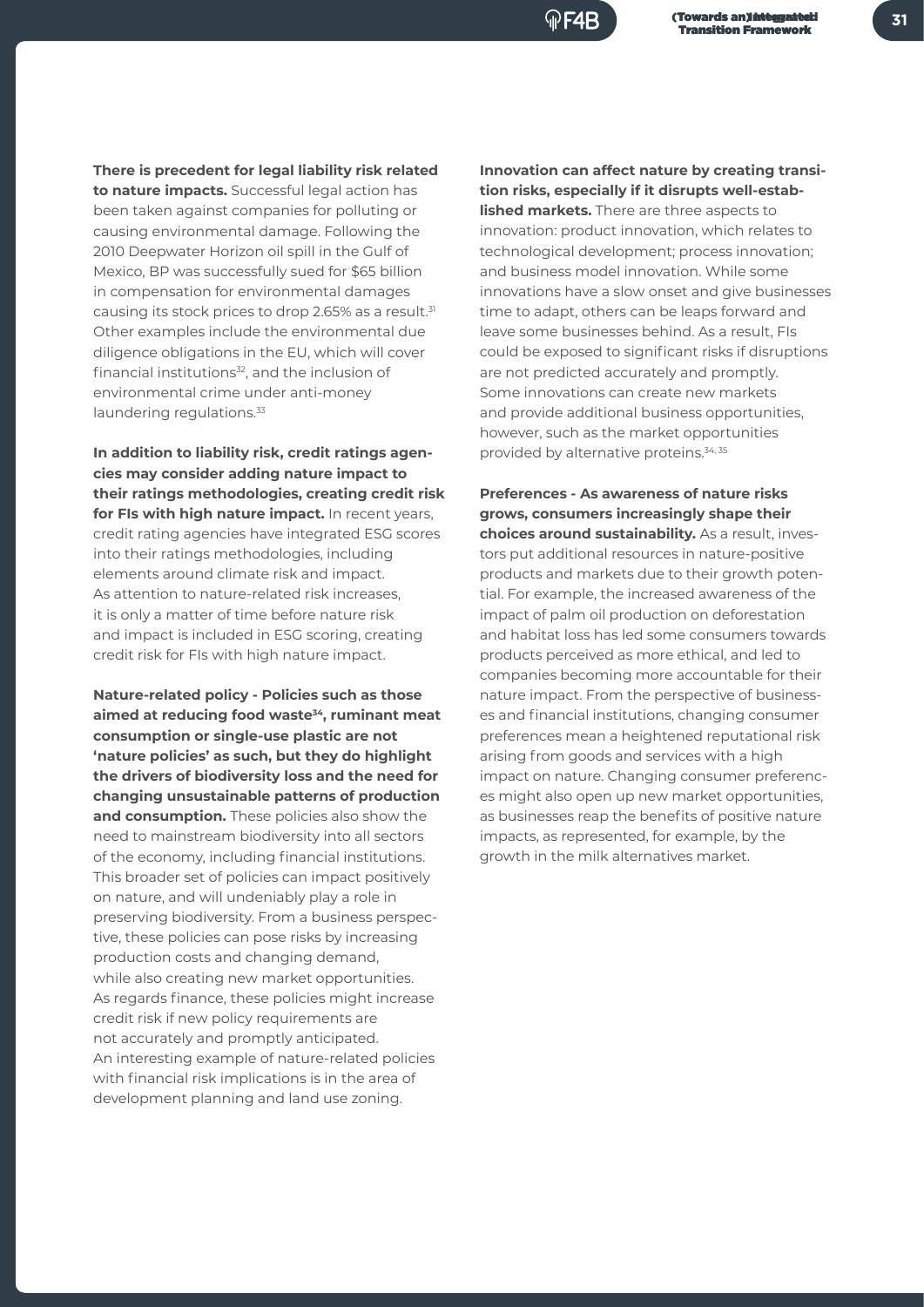

**There is precedent for legal liability risk related to nature impacts.** Successful legal action has been taken against companies for polluting or causing environmental damage. Following the 2010 Deepwater Horizon oil spill in the Gulf of Mexico, BP was successfully sued for \$65 billion in compensation for environmental damages causing its stock prices to drop 2.65% as a result.<sup>31</sup> Other examples include the environmental due diligence obligations in the EU, which will cover financial institutions<sup>32</sup>, and the inclusion of environmental crime under anti-money laundering regulations.<sup>33</sup>

**In addition to liability risk, credit ratings agencies may consider adding nature impact to their ratings methodologies, creating credit risk for FIs with high nature impact.** In recent years, credit rating agencies have integrated ESG scores into their ratings methodologies, including elements around climate risk and impact. As attention to nature-related risk increases, it is only a matter of time before nature risk and impact is included in ESG scoring, creating credit risk for FIs with high nature impact.

**Nature-related policy - Policies such as those aimed at reducing food waste34, ruminant meat consumption or single-use plastic are not 'nature policies' as such, but they do highlight the drivers of biodiversity loss and the need for changing unsustainable patterns of production and consumption.** These policies also show the need to mainstream biodiversity into all sectors of the economy, including financial institutions. This broader set of policies can impact positively on nature, and will undeniably play a role in preserving biodiversity. From a business perspective, these policies can pose risks by increasing production costs and changing demand, while also creating new market opportunities. As regards finance, these policies might increase credit risk if new policy requirements are not accurately and promptly anticipated. An interesting example of nature-related policies with financial risk implications is in the area of development planning and land use zoning.

**Innovation can affect nature by creating transition risks, especially if it disrupts well-established markets.** There are three aspects to innovation: product innovation, which relates to technological development; process innovation; and business model innovation. While some innovations have a slow onset and give businesses time to adapt, others can be leaps forward and leave some businesses behind. As a result, FIs could be exposed to significant risks if disruptions are not predicted accurately and promptly. Some innovations can create new markets and provide additional business opportunities, however, such as the market opportunities provided by alternative proteins.34, 35

**Preferences - As awareness of nature risks grows, consumers increasingly shape their choices around sustainability.** As a result, investors put additional resources in nature-positive products and markets due to their growth potential. For example, the increased awareness of the impact of palm oil production on deforestation and habitat loss has led some consumers towards products perceived as more ethical, and led to companies becoming more accountable for their nature impact. From the perspective of businesses and financial institutions, changing consumer preferences mean a heightened reputational risk arising from goods and services with a high impact on nature. Changing consumer preferences might also open up new market opportunities, as businesses reap the benefits of positive nature impacts, as represented, for example, by the growth in the milk alternatives market.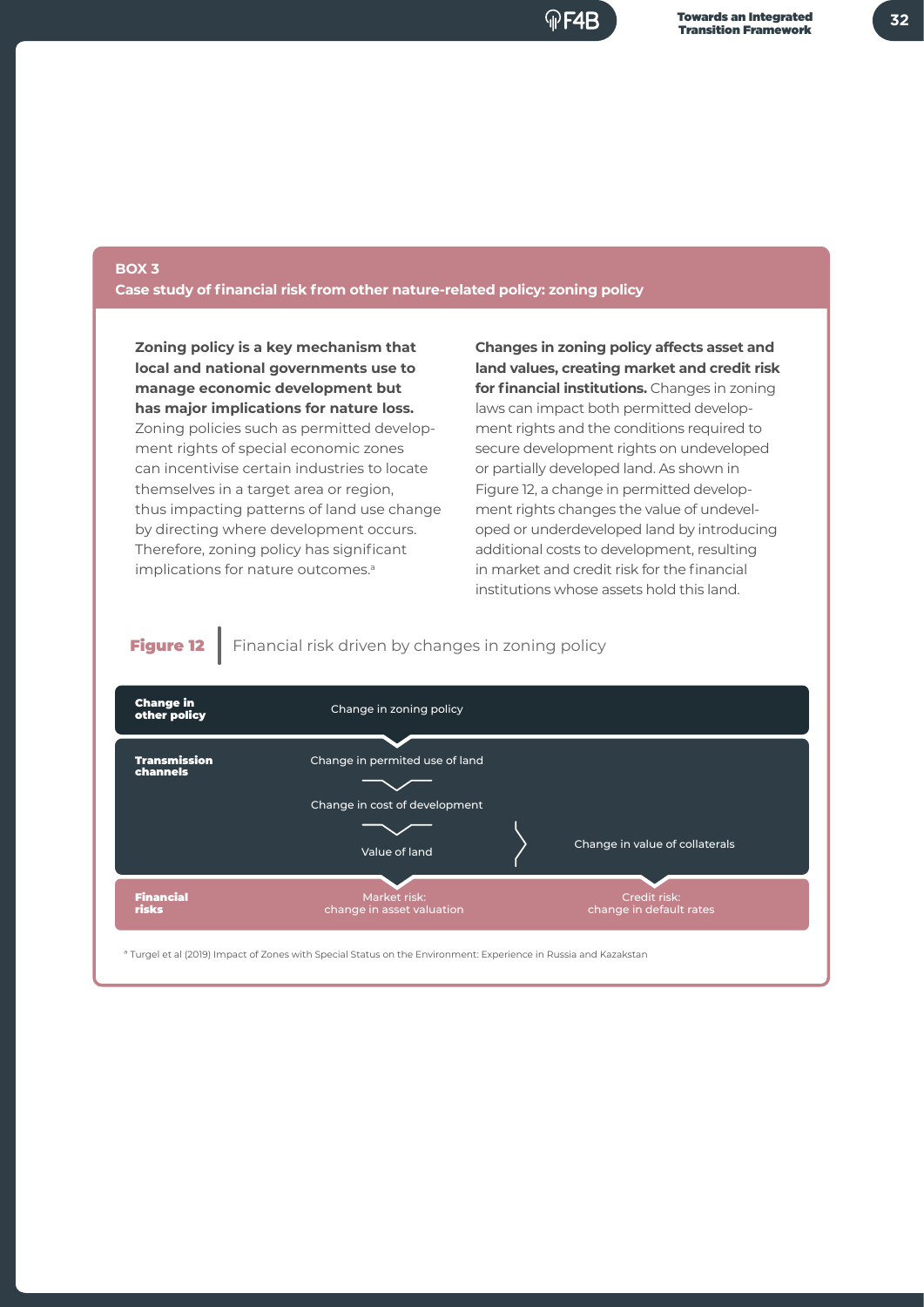

### **BOX 3**

**Case study of financial risk from other nature-related policy: zoning policy** 

**Zoning policy is a key mechanism that local and national governments use to manage economic development but has major implications for nature loss.** Zoning policies such as permitted development rights of special economic zones can incentivise certain industries to locate themselves in a target area or region, thus impacting patterns of land use change by directing where development occurs. Therefore, zoning policy has significant implications for nature outcomes.<sup>a</sup>

**Changes in zoning policy affects asset and land values, creating market and credit risk for financial institutions.** Changes in zoning laws can impact both permitted development rights and the conditions required to secure development rights on undeveloped or partially developed land. As shown in Figure 12, a change in permitted development rights changes the value of undeveloped or underdeveloped land by introducing additional costs to development, resulting in market and credit risk for the financial institutions whose assets hold this land.

Figure 12 Financial risk driven by changes in zoning policy

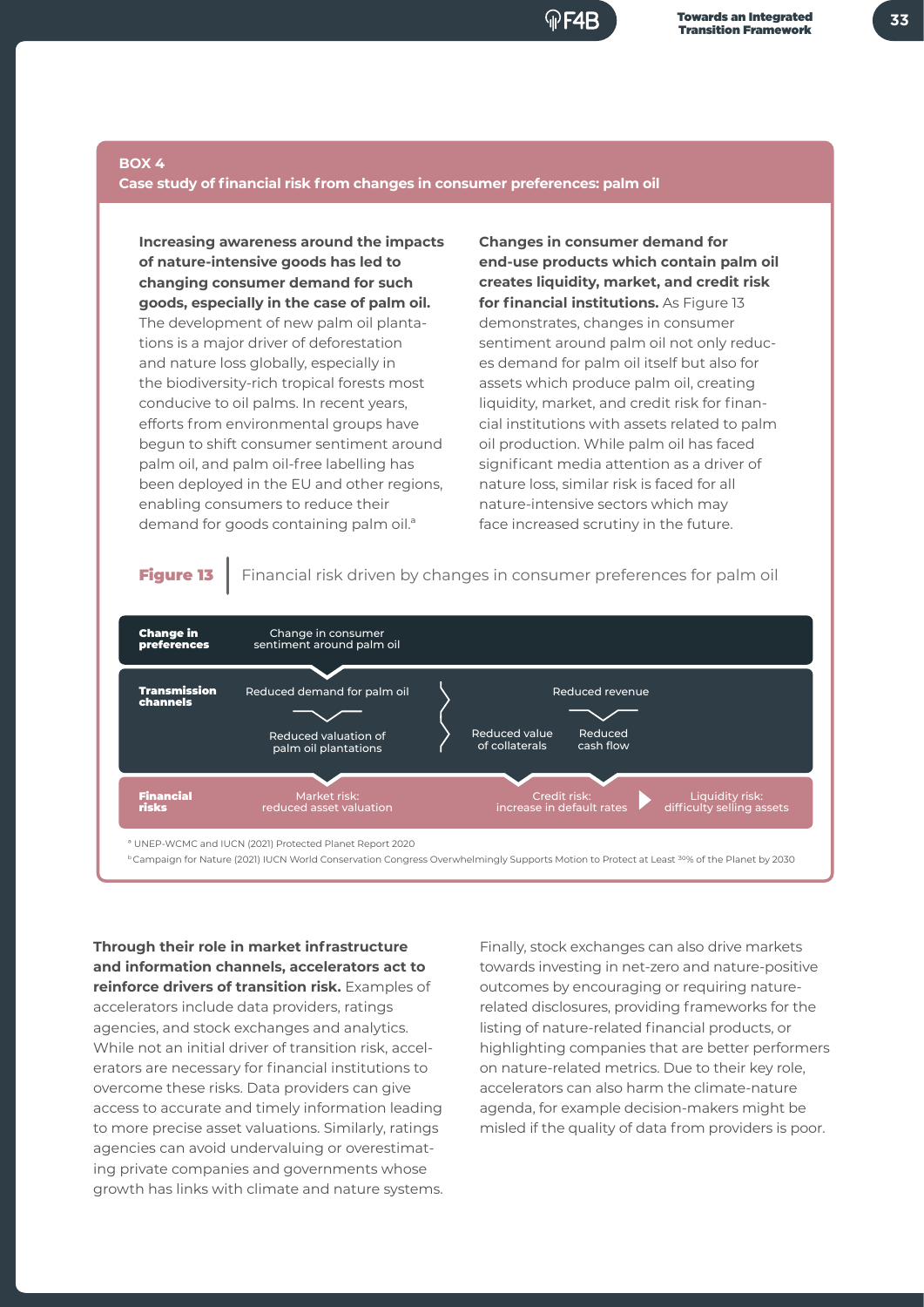

#### **BOX 4**

**Case study of financial risk from changes in consumer preferences: palm oil** 

**Increasing awareness around the impacts of nature-intensive goods has led to changing consumer demand for such goods, especially in the case of palm oil.**  The development of new palm oil plantations is a major driver of deforestation and nature loss globally, especially in the biodiversity-rich tropical forests most conducive to oil palms. In recent years, efforts from environmental groups have begun to shift consumer sentiment around palm oil, and palm oil-free labelling has been deployed in the EU and other regions, enabling consumers to reduce their demand for goods containing palm oil.ª

**Changes in consumer demand for end-use products which contain palm oil creates liquidity, market, and credit risk for financial institutions.** As Figure 13 demonstrates, changes in consumer sentiment around palm oil not only reduces demand for palm oil itself but also for assets which produce palm oil, creating liquidity, market, and credit risk for financial institutions with assets related to palm oil production. While palm oil has faced significant media attention as a driver of nature loss, similar risk is faced for all nature-intensive sectors which may face increased scrutiny in the future.

**Figure 13** Financial risk driven by changes in consumer preferences for palm oil



<sup>b</sup> Campaign for Nature (2021) IUCN World Conservation Congress Overwhelmingly Supports Motion to Protect at Least <sup>30</sup>% of the Planet by 2030

**Through their role in market infrastructure and information channels, accelerators act to reinforce drivers of transition risk.** Examples of accelerators include data providers, ratings agencies, and stock exchanges and analytics. While not an initial driver of transition risk, accelerators are necessary for financial institutions to overcome these risks. Data providers can give access to accurate and timely information leading to more precise asset valuations. Similarly, ratings agencies can avoid undervaluing or overestimating private companies and governments whose growth has links with climate and nature systems.

Finally, stock exchanges can also drive markets towards investing in net-zero and nature-positive outcomes by encouraging or requiring naturerelated disclosures, providing frameworks for the listing of nature-related financial products, or highlighting companies that are better performers on nature-related metrics. Due to their key role, accelerators can also harm the climate-nature agenda, for example decision-makers might be misled if the quality of data from providers is poor.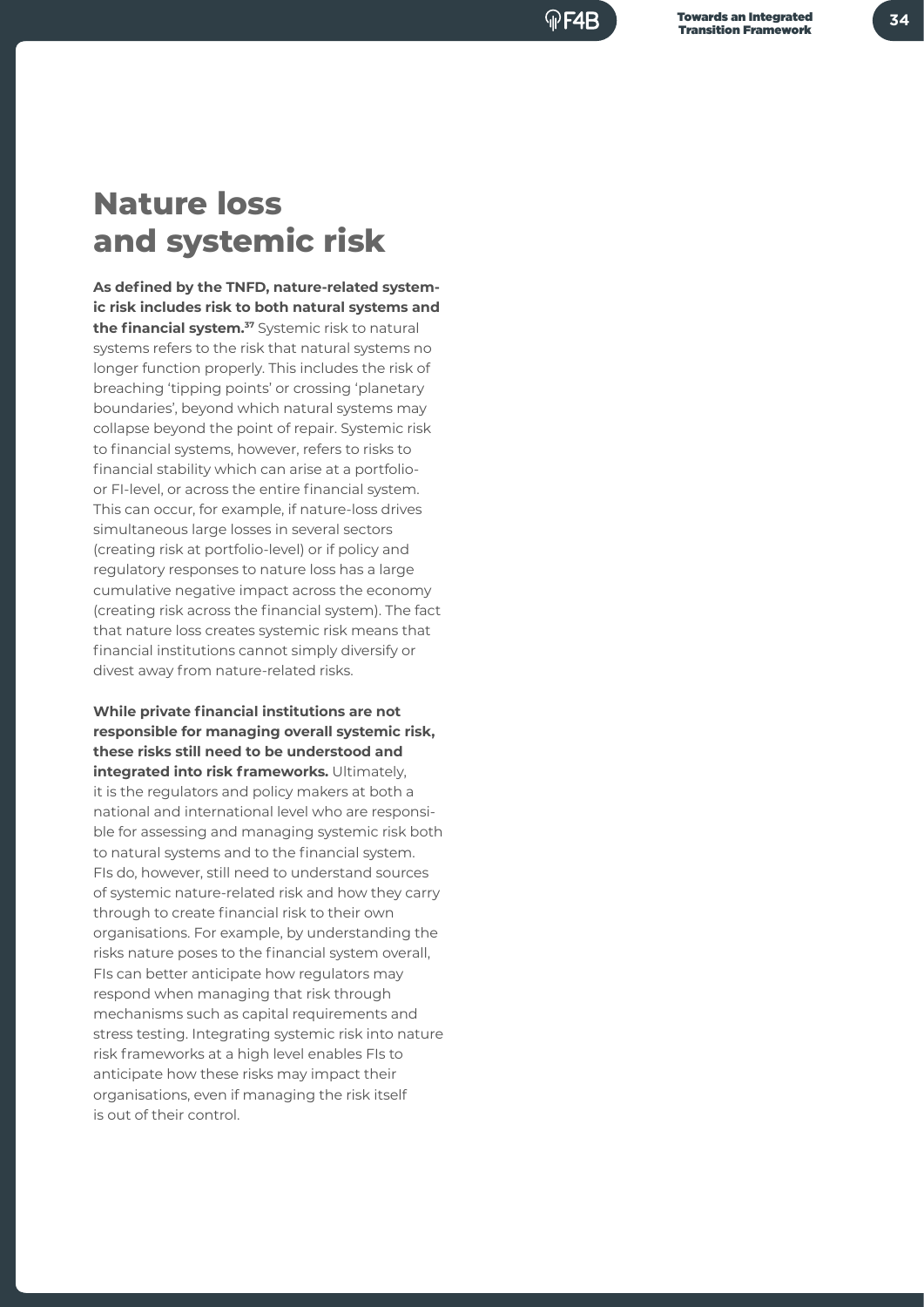## **Nature loss and systemic risk**

**As defined by the TNFD, nature-related systemic risk includes risk to both natural systems and the financial system.<sup>37</sup>** Systemic risk to natural systems refers to the risk that natural systems no longer function properly. This includes the risk of breaching 'tipping points' or crossing 'planetary boundaries', beyond which natural systems may collapse beyond the point of repair. Systemic risk to financial systems, however, refers to risks to financial stability which can arise at a portfolioor FI-level, or across the entire financial system. This can occur, for example, if nature-loss drives simultaneous large losses in several sectors (creating risk at portfolio-level) or if policy and regulatory responses to nature loss has a large cumulative negative impact across the economy (creating risk across the financial system). The fact that nature loss creates systemic risk means that financial institutions cannot simply diversify or divest away from nature-related risks.

**While private financial institutions are not responsible for managing overall systemic risk, these risks still need to be understood and integrated into risk frameworks.** Ultimately, it is the regulators and policy makers at both a national and international level who are responsible for assessing and managing systemic risk both to natural systems and to the financial system. FIs do, however, still need to understand sources of systemic nature-related risk and how they carry through to create financial risk to their own organisations. For example, by understanding the risks nature poses to the financial system overall, FIs can better anticipate how regulators may respond when managing that risk through mechanisms such as capital requirements and stress testing. Integrating systemic risk into nature risk frameworks at a high level enables FIs to anticipate how these risks may impact their organisations, even if managing the risk itself is out of their control.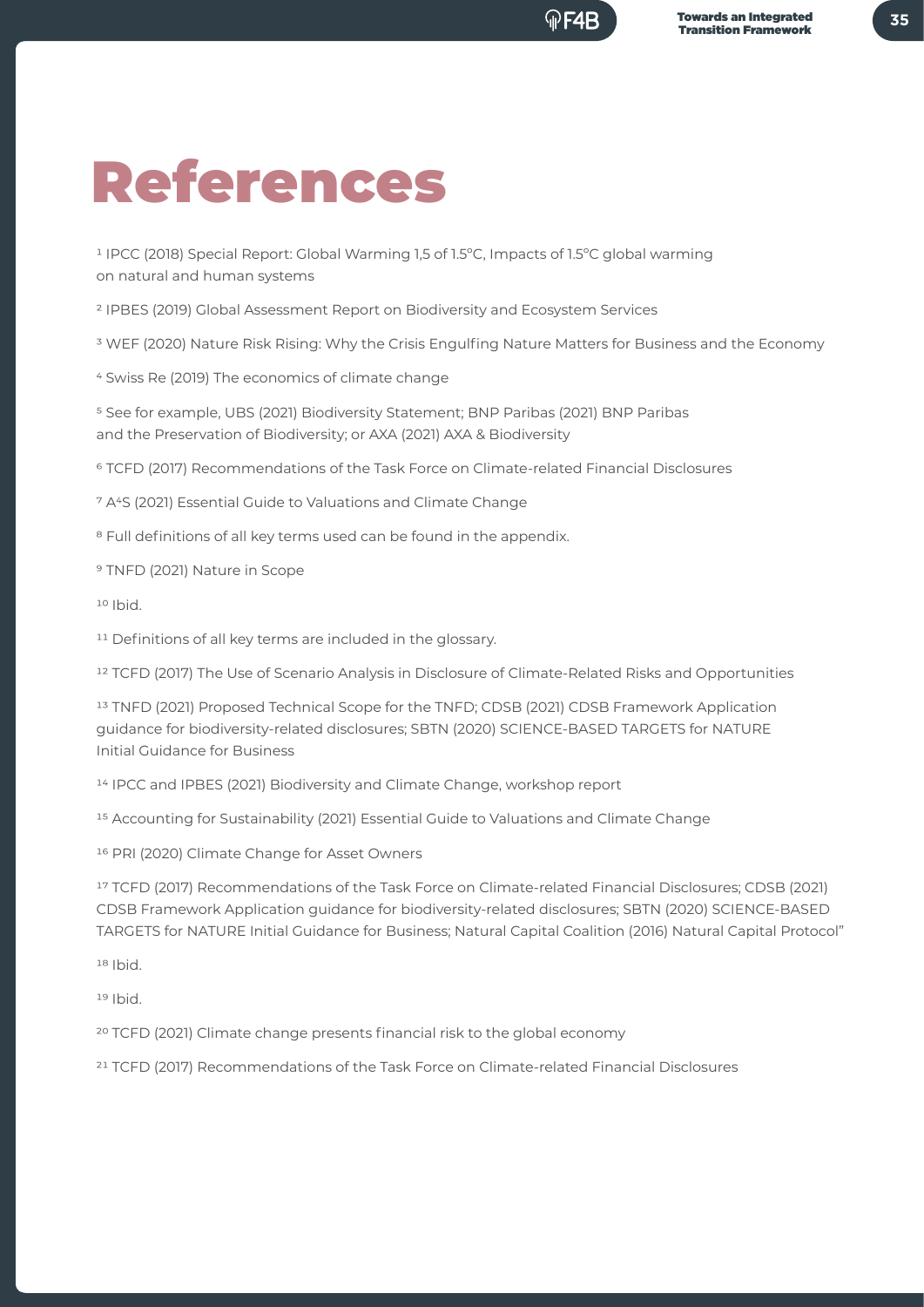## References

1 IPCC (2018) Special Report: Global Warming 1,5 of 1.5ºC, Impacts of 1.5ºC global warming on natural and human systems

2 IPBES (2019) Global Assessment Report on Biodiversity and Ecosystem Services

3 WEF (2020) Nature Risk Rising: Why the Crisis Engulfing Nature Matters for Business and the Economy

4 Swiss Re (2019) The economics of climate change

5 See for example, UBS (2021) Biodiversity Statement; BNP Paribas (2021) BNP Paribas and the Preservation of Biodiversity; or AXA (2021) AXA & Biodiversity

6 TCFD (2017) Recommendations of the Task Force on Climate-related Financial Disclosures

7 A4S (2021) Essential Guide to Valuations and Climate Change

<sup>8</sup> Full definitions of all key terms used can be found in the appendix.

9 TNFD (2021) Nature in Scope

10 Ibid.

<sup>11</sup> Definitions of all key terms are included in the glossary.

12 TCFD (2017) The Use of Scenario Analysis in Disclosure of Climate-Related Risks and Opportunities

13 TNFD (2021) Proposed Technical Scope for the TNFD; CDSB (2021) CDSB Framework Application guidance for biodiversity-related disclosures; SBTN (2020) SCIENCE-BASED TARGETS for NATURE Initial Guidance for Business

14 IPCC and IPBES (2021) Biodiversity and Climate Change, workshop report

<sup>15</sup> Accounting for Sustainability (2021) Essential Guide to Valuations and Climate Change

16 PRI (2020) Climate Change for Asset Owners

17 TCFD (2017) Recommendations of the Task Force on Climate-related Financial Disclosures; CDSB (2021) CDSB Framework Application guidance for biodiversity-related disclosures; SBTN (2020) SCIENCE-BASED TARGETS for NATURE Initial Guidance for Business; Natural Capital Coalition (2016) Natural Capital Protocol"

18 Ibid.

19 Ibid.

20 TCFD (2021) Climate change presents financial risk to the global economy

21 TCFD (2017) Recommendations of the Task Force on Climate-related Financial Disclosures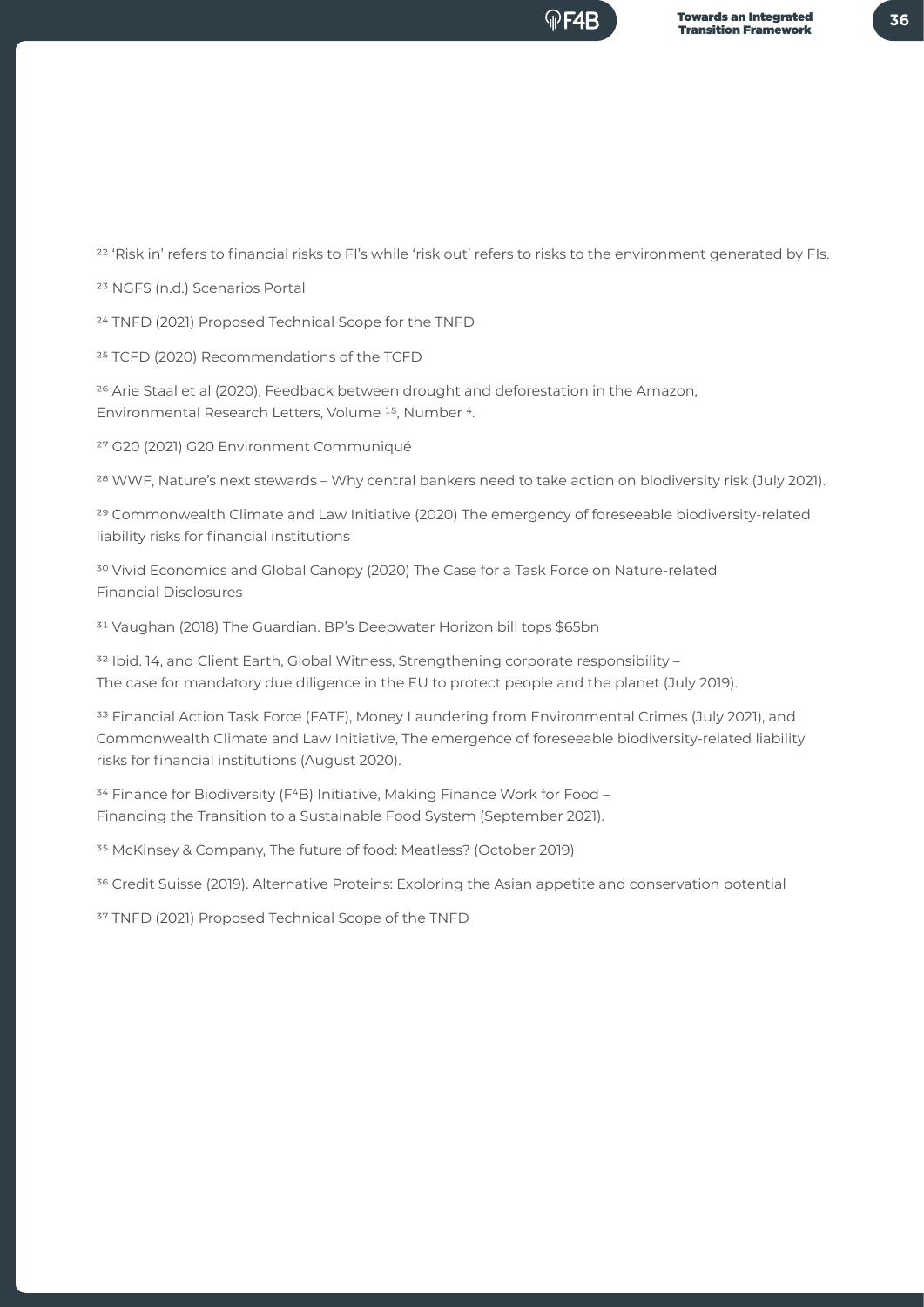<sup>22</sup> 'Risk in' refers to financial risks to FI's while 'risk out' refers to risks to the environment generated by FIs.

23 NGFS (n.d.) Scenarios Portal

24 TNFD (2021) Proposed Technical Scope for the TNFD

25 TCFD (2020) Recommendations of the TCFD

<sup>26</sup> Arie Staal et al (2020), Feedback between drought and deforestation in the Amazon, Environmental Research Letters, Volume 15, Number 4.

27 G20 (2021) G20 Environment Communiqué

28 WWF, Nature's next stewards – Why central bankers need to take action on biodiversity risk (July 2021).

29 Commonwealth Climate and Law Initiative (2020) The emergency of foreseeable biodiversity-related liability risks for financial institutions

30 Vivid Economics and Global Canopy (2020) The Case for a Task Force on Nature-related Financial Disclosures

31 Vaughan (2018) The Guardian. BP's Deepwater Horizon bill tops \$65bn

<sup>32</sup> Ibid. 14, and Client Earth, Global Witness, Strengthening corporate responsibility -The case for mandatory due diligence in the EU to protect people and the planet (July 2019).

33 Financial Action Task Force (FATF), Money Laundering from Environmental Crimes (July 2021), and Commonwealth Climate and Law Initiative, The emergence of foreseeable biodiversity-related liability risks for financial institutions (August 2020).

<sup>34</sup> Finance for Biodiversity (F<sup>4</sup>B) Initiative, Making Finance Work for Food -Financing the Transition to a Sustainable Food System (September 2021).

35 McKinsey & Company, The future of food: Meatless? (October 2019)

<sup>36</sup> Credit Suisse (2019). Alternative Proteins: Exploring the Asian appetite and conservation potential

37 TNFD (2021) Proposed Technical Scope of the TNFD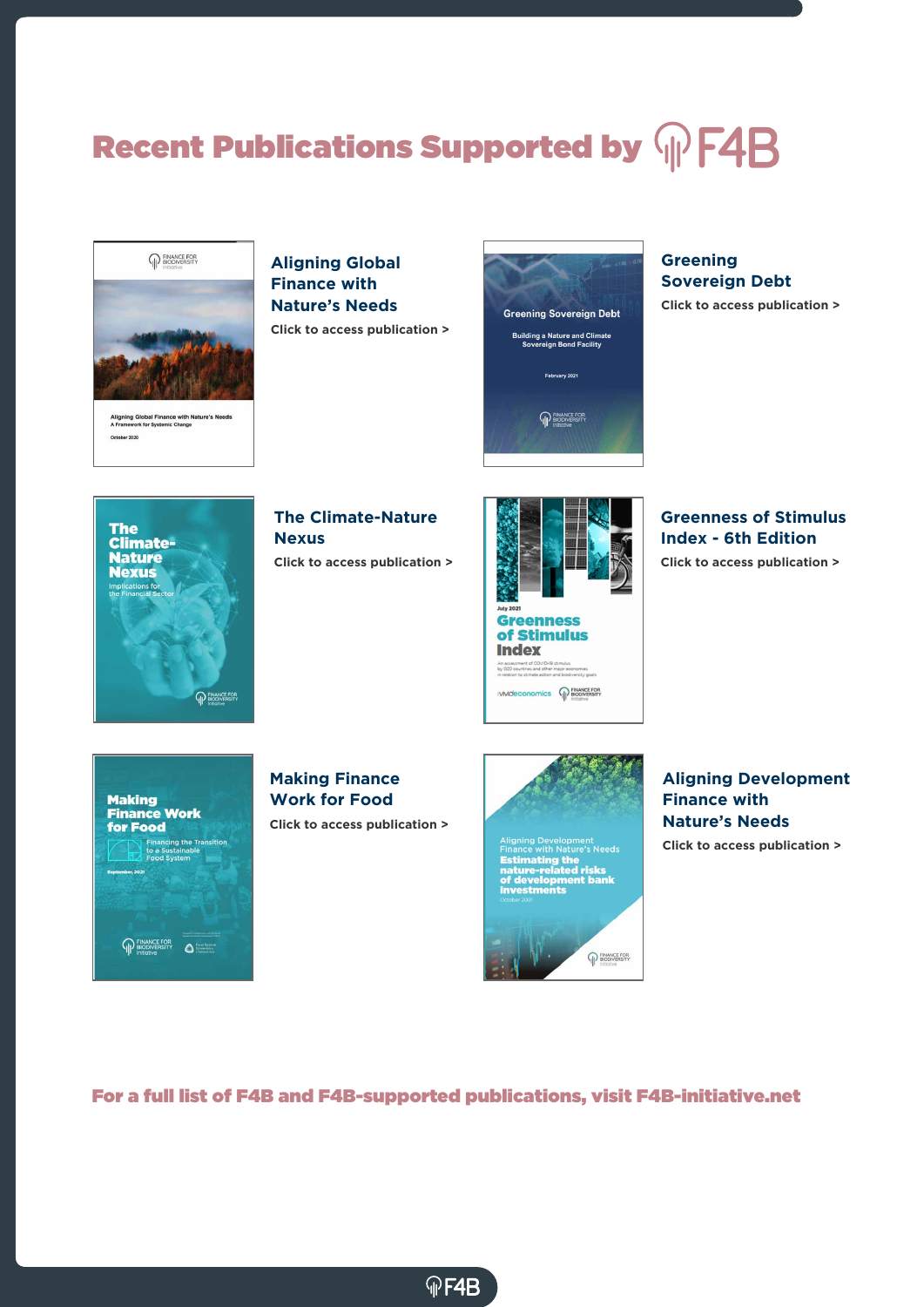## Recent Publications Supported by  $\sqrt{m}$  F4B



Aligning Global Finance with Nature's Needs<br>A Framework for Systemic Change ber 2020

### **Aligning Global Finance with Nature's Needs**

**Click to access publication >**



#### **Greening Sovereign Debt**

**Click to access publication >**



**The Climate-Nature Nexus**



**Greenness of Stimulus Index - 6th Edition Click to access publication >**



**Click to access publication >**



Aligning Development<br>Finance with Nature's Needs<br>**Estimating the<br>nature-related risks<br>of development bank**<br>investments



**Aligning Development Finance with Nature's Needs**

**Click to access publication >**



**Making Finance Work for Food**

**Click to access publication >**

**OF4B** 

For a full list of F4B and F4B-supported publications, visit F4B-initiative.net